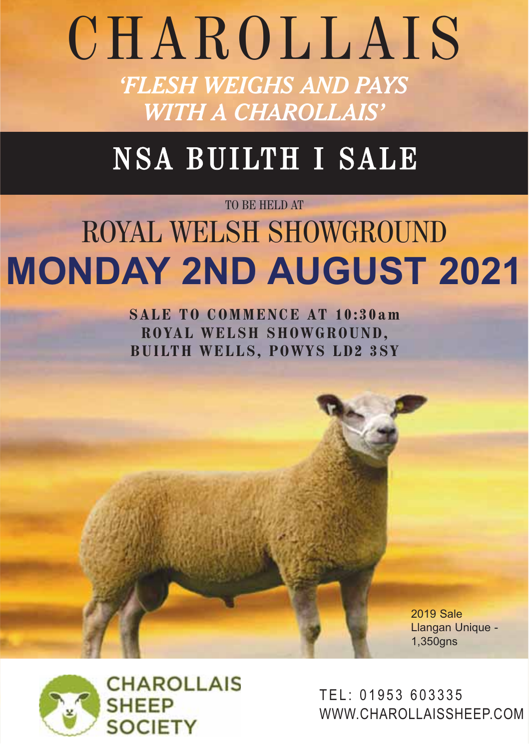# CHAROLLAIS *'FLESH WEIGHS AND PAYS WITH A CHAROLLAIS'*

# NSA BUILTH I SALE

# TO BE HELD AT ROYAL WELSH SHOWGROUND **MONDAY 2ND AUGUST 2021**

**SALE TO COMMENCE AT 10:30am ROYAL WELSH SHOWGROUND, BUILTH WELLS, POWYS LD2 3SY**

> **2019 Sale** Llangan Unique - $1,350$ gns 1,350gns



TEL: 01953 603335 WWW.CHAROLLAISSHEEP.COM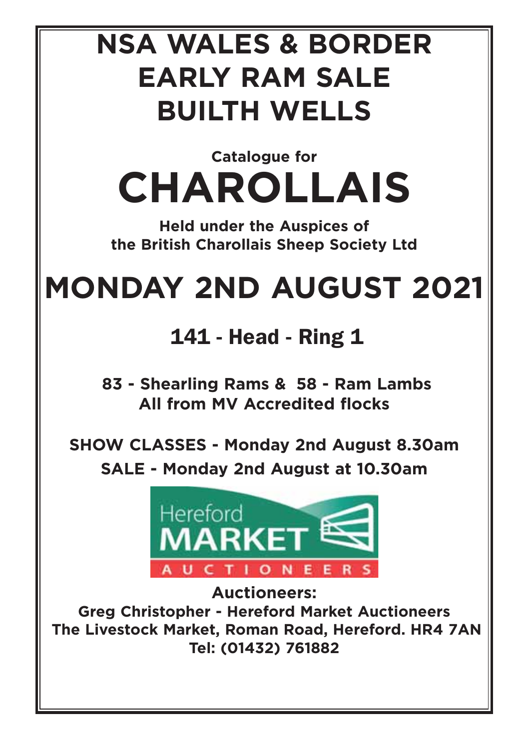# **NSA WALES & BORDER EARLY RAM SALE BUILTH WELLS**

**Catalogue for CHAROLLAIS**

**Held under the Auspices of the British Charollais Sheep Society Ltd**

# **MONDAY 2ND AUGUST 2021**

141 - Head - Ring 1

**83 - Shearling Rams & 58 - Ram Lambs All from MV Accredited flocks**

**SHOW CLASSES - Monday 2nd August 8.30am SALE - Monday 2nd August at 10.30am**



**Auctioneers: Greg Christopher - Hereford Market Auctioneers The Livestock Market, Roman Road, Hereford. HR4 7AN Tel: (01432) 761882**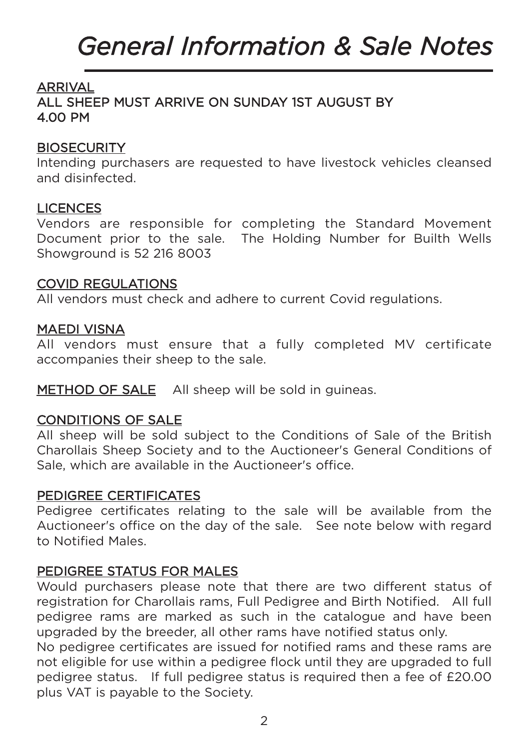# *General Information & Sale Notes*

## ARRIVAL

ALL SHEEP MUST ARRIVE ON SUNDAY 1ST AUGUST BY 4.00 PM

#### **BIOSECURITY**

Intending purchasers are requested to have livestock vehicles cleansed and disinfected.

#### **LICENCES**

Vendors are responsible for completing the Standard Movement Document prior to the sale. The Holding Number for Builth Wells Showground is 52 216 8003

#### COVID REGULATIONS

All vendors must check and adhere to current Covid regulations.

#### MAEDI VISNA

All vendors must ensure that a fully completed MV certificate accompanies their sheep to the sale.

METHOD OF SALE All sheep will be sold in quineas.

#### CONDITIONS OF SALE

All sheep will be sold subject to the Conditions of Sale of the British Charollais Sheep Society and to the Auctioneer's General Conditions of Sale, which are available in the Auctioneer's office.

#### PEDIGREE CERTIFICATES

Pedigree certificates relating to the sale will be available from the Auctioneer's office on the day of the sale. See note below with regard to Notified Males.

#### PEDIGREE STATUS FOR MALES

Would purchasers please note that there are two different status of registration for Charollais rams, Full Pedigree and Birth Notified. All full pedigree rams are marked as such in the catalogue and have been upgraded by the breeder, all other rams have notified status only.

No pedigree certificates are issued for notified rams and these rams are not eligible for use within a pedigree flock until they are upgraded to full pedigree status. If full pedigree status is required then a fee of £20.00 plus VAT is payable to the Society.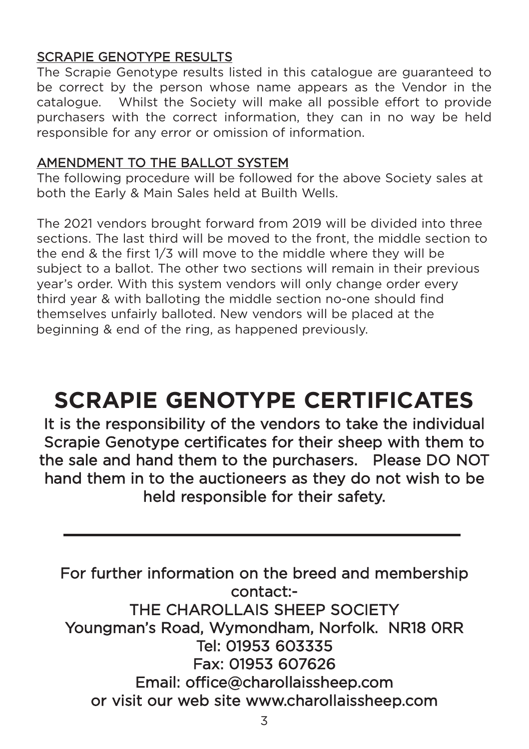## SCRAPIE GENOTYPE RESULTS

The Scrapie Genotype results listed in this catalogue are guaranteed to be correct by the person whose name appears as the Vendor in the catalogue. Whilst the Society will make all possible effort to provide purchasers with the correct information, they can in no way be held responsible for any error or omission of information.

## AMENDMENT TO THE BALLOT SYSTEM

The following procedure will be followed for the above Society sales at both the Early & Main Sales held at Builth Wells.

The 2021 vendors brought forward from 2019 will be divided into three sections. The last third will be moved to the front, the middle section to the end & the first 1/3 will move to the middle where they will be subject to a ballot. The other two sections will remain in their previous year's order. With this system vendors will only change order every third year & with balloting the middle section no-one should find themselves unfairly balloted. New vendors will be placed at the beginning & end of the ring, as happened previously.

## **SCRAPIE GENOTYPE CERTIFICATES**

It is the responsibility of the vendors to take the individual Scrapie Genotype certificates for their sheep with them to the sale and hand them to the purchasers. Please DO NOT hand them in to the auctioneers as they do not wish to be held responsible for their safety.

For further information on the breed and membership contact:- THE CHAROLLAIS SHEEP SOCIETY Youngman's Road, Wymondham, Norfolk. NR18 0RR Tel: 01953 603335 Fax: 01953 607626 Email: office@charollaissheep.com or visit our web site www.charollaissheep.com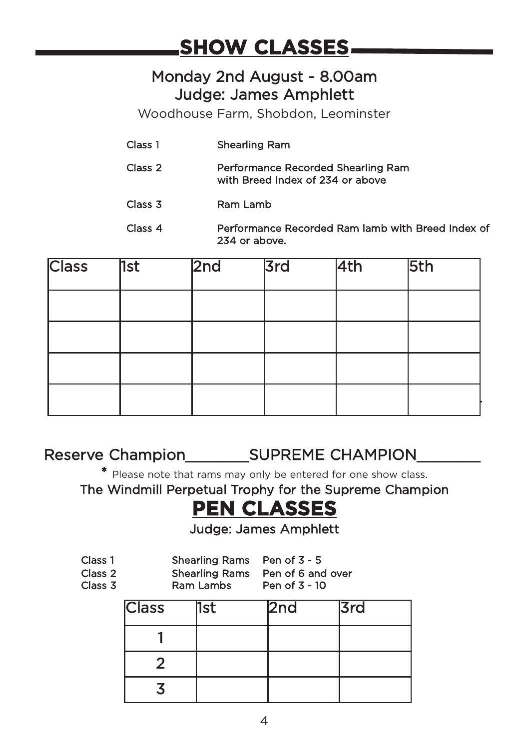## **SHOW CLASSES**

## Monday 2nd August - 8.00am Judge: James Amphlett

Woodhouse Farm, Shobdon, Leominster

- Class 1 Shearling Ram
- Class 2 Performance Recorded Shearling Ram with Breed Index of 234 or above
- Class 3 Ram Lamb
- Class 4 Performance Recorded Ram lamb with Breed Index of 234 or above.

| <b>Class</b> | 1st | 2nd | 3rd | 4th | 5th |
|--------------|-----|-----|-----|-----|-----|
|              |     |     |     |     |     |
|              |     |     |     |     |     |
|              |     |     |     |     |     |
|              |     |     |     |     |     |

## Reserve Champion\_\_\_\_\_\_\_SUPREME CHAMPION\_\_\_\_\_\_\_

\* Please note that rams may only be entered for one show class.

The Windmill Perpetual Trophy for the Supreme Champion

## **PEN CLASSES**

Judge: James Amphlett

| Class 1<br>Class 2<br>Class 3 |              | Shearling Rams Pen of 3 - 5<br>Shearling Rams Pen of 6 and over<br>Ram Lambs | Pen of 3 - 10 |  |     |  |
|-------------------------------|--------------|------------------------------------------------------------------------------|---------------|--|-----|--|
|                               | <b>Class</b> | 1st                                                                          | 2nd           |  | 3rd |  |
|                               |              |                                                                              |               |  |     |  |
|                               |              |                                                                              |               |  |     |  |
|                               |              |                                                                              |               |  |     |  |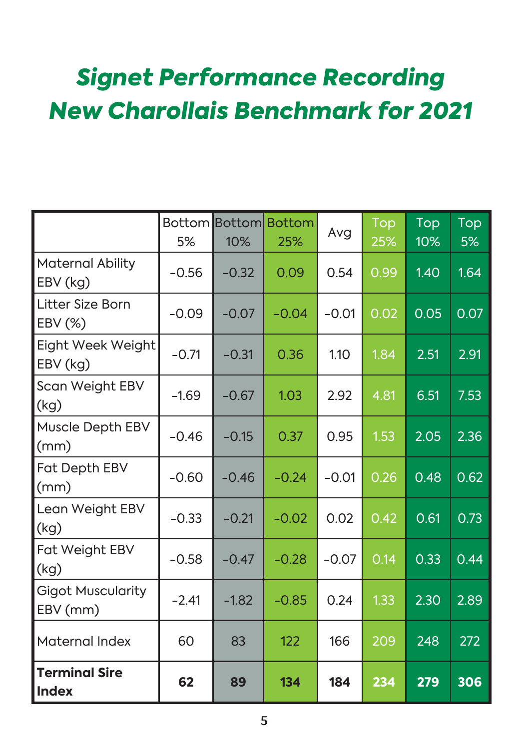## *Signet Performance Recording New Charollais Benchmark for 2021*

|                                      | 5%      | 10%     | <b>Bottom Bottom Bottom</b><br>25% | Avg     | Top<br>25% | Top<br>10% | Top<br>5% |
|--------------------------------------|---------|---------|------------------------------------|---------|------------|------------|-----------|
| Maternal Ability<br>EBV (kg)         | $-0.56$ | $-0.32$ | 0.09                               | 0.54    | 0.99       | 1.40       | 1.64      |
| Litter Size Born<br>EBV (%)          | $-0.09$ | $-0.07$ | $-0.04$                            | $-0.01$ | 0.02       | 0.05       | 0.07      |
| Eight Week Weight<br>EBV (kg)        | $-0.71$ | $-0.31$ | 0.36                               | 1.10    | 1.84       | 2.51       | 2.91      |
| Scan Weight EBV<br>(kg)              | $-1.69$ | $-0.67$ | 1.03                               | 2.92    | 4.81       | 6.51       | 7.53      |
| Muscle Depth EBV<br>(mm)             | $-0.46$ | $-0.15$ | 0.37                               | 0.95    | 1.53       | 2.05       | 2.36      |
| Fat Depth EBV<br>(mm)                | $-0.60$ | $-0.46$ | $-0.24$                            | $-0.01$ | 0.26       | 0.48       | 0.62      |
| Lean Weight EBV<br>(kg)              | $-0.33$ | $-0.21$ | $-0.02$                            | 0.02    | 0.42       | 0.61       | 0.73      |
| Fat Weight EBV<br>(kg)               | $-0.58$ | $-0.47$ | $-0.28$                            | $-0.07$ | 0.14       | 0.33       | 0.44      |
| <b>Gigot Muscularity</b><br>EBV (mm) | $-2.41$ | $-1.82$ | $-0.85$                            | 0.24    | 1.33       | 2.30       | 2.89      |
| Maternal Index                       | 60      | 83      | 122                                | 166     | 209        | 248        | 272       |
| <b>Terminal Sire</b><br><b>Index</b> | 62      | 89      | 134                                | 184     | 234        | 279        | 306       |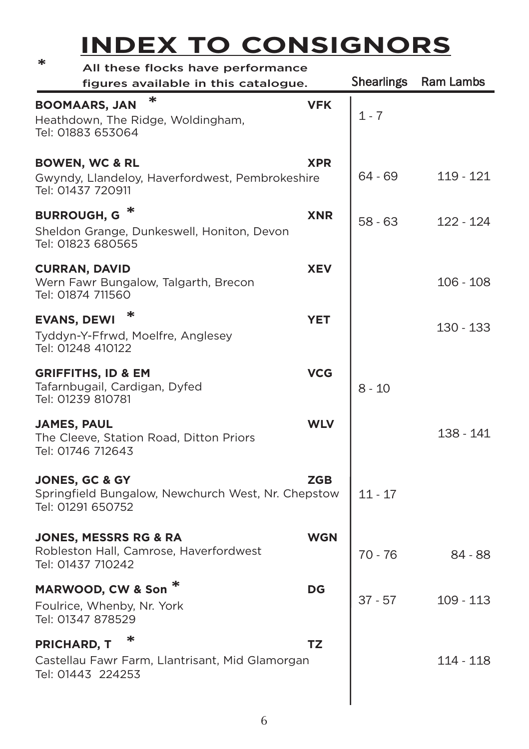## **INDEX TO CONSIGNORS \*** All these flocks have performance

| All these hocks have performance<br>figures available in this catalogue.                             |            | <b>Shearlings</b> | Ram Lambs   |
|------------------------------------------------------------------------------------------------------|------------|-------------------|-------------|
| ∗<br><b>BOOMAARS, JAN</b><br>Heathdown, The Ridge, Woldingham,<br>Tel: 01883 653064                  | <b>VFK</b> | 1 - 7             |             |
| <b>BOWEN, WC &amp; RL</b><br>Gwyndy, Llandeloy, Haverfordwest, Pembrokeshire<br>Tel: 01437 720911    | <b>XPR</b> | 64 - 69           | 119 - 121   |
| <b>BURROUGH, G</b><br>Sheldon Grange, Dunkeswell, Honiton, Devon<br>Tel: 01823 680565                | <b>XNR</b> | 58 - 63           | 122 - 124   |
| <b>CURRAN, DAVID</b><br>Wern Fawr Bungalow, Talgarth, Brecon<br>Tel: 01874 711560                    | <b>XEV</b> |                   | 106 - 108   |
| <b>EVANS, DEWI</b><br>Tyddyn-Y-Ffrwd, Moelfre, Anglesey<br>Tel: 01248 410122                         | <b>YET</b> |                   | 130 - 133   |
| <b>GRIFFITHS, ID &amp; EM</b><br>Tafarnbugail, Cardigan, Dyfed<br>Tel: 01239 810781                  | <b>VCG</b> | 8 - 10            |             |
| <b>JAMES, PAUL</b><br>The Cleeve, Station Road, Ditton Priors<br>Tel: 01746 712643                   | <b>WLV</b> |                   | 138 - 141   |
| <b>JONES, GC &amp; GY</b><br>Springfield Bungalow, Newchurch West, Nr. Chepstow<br>Tel: 01291 650752 | <b>ZGB</b> | 11 - 17           |             |
| <b>JONES, MESSRS RG &amp; RA</b><br>Robleston Hall, Camrose, Haverfordwest<br>Tel: 01437 710242      | WGN        | $70 - 76$         | 84 - 88     |
| MARWOOD, CW & Son <sup>*</sup><br>Foulrice, Whenby, Nr. York<br>Tel: 01347 878529                    | DG         | $37 - 57$         | $109 - 113$ |
| <b>PRICHARD, T</b><br>Castellau Fawr Farm, Llantrisant, Mid Glamorgan<br>Tel: 01443 224253           | TZ         |                   | 114 - 118   |
|                                                                                                      |            |                   |             |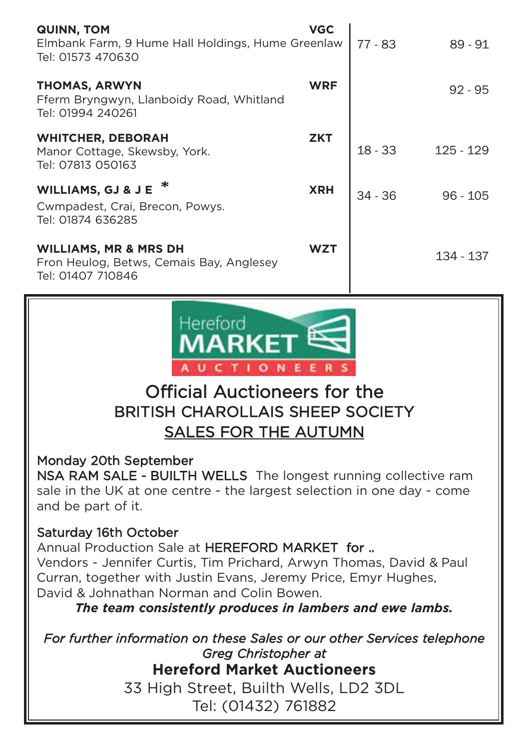| <b>QUINN, TOM</b><br>Elmbank Farm, 9 Hume Hall Holdings, Hume Greenlaw<br>Tel: 01573 470630       | <b>VGC</b> | $77 - 83$ | $89 - 91$  |
|---------------------------------------------------------------------------------------------------|------------|-----------|------------|
| <b>THOMAS, ARWYN</b><br>Fferm Bryngwyn, Llanboidy Road, Whitland<br>Tel: 01994 240261             | <b>WRF</b> |           | $92 - 95$  |
| <b>WHITCHER, DEBORAH</b><br>Manor Cottage, Skewsby, York.<br>Tel: 07813 050163                    | <b>ZKT</b> | $18 - 33$ | 125 - 129  |
| <b>WILLIAMS, GJ &amp; J E</b><br>Cwmpadest, Crai, Brecon, Powys.<br>Tel: 01874 636285             | <b>XRH</b> | $34 - 36$ | $96 - 105$ |
| <b>WILLIAMS, MR &amp; MRS DH</b><br>Fron Heulog, Betws, Cemais Bay, Anglesey<br>Tel: 01407 710846 | <b>WZT</b> |           | 134 - 137  |



## Official Auctioneers for the BRITISH CHAROLLAIS SHEEP SOCIETY SALES FOR THE AUTUMN

Monday 20th September

NSA RAM SALE - BUILTH WELLS The longest running collective ram sale in the UK at one centre - the largest selection in one day - come and be part of it.

#### Saturday 16th October

Annual Production Sale at HEREFORD MARKET for .. Vendors - Jennifer Curtis, Tim Prichard, Arwyn Thomas, David & Paul Curran, together with Justin Evans, Jeremy Price, Emyr Hughes, David & Johnathan Norman and Colin Bowen.

*The team consistently produces in lambers and ewe lambs.*

*For further information on these Sales or our other Services telephone Greg Christopher at* **Hereford Market Auctioneers** 33 High Street, Builth Wells, LD2 3DL Tel: (01432) 761882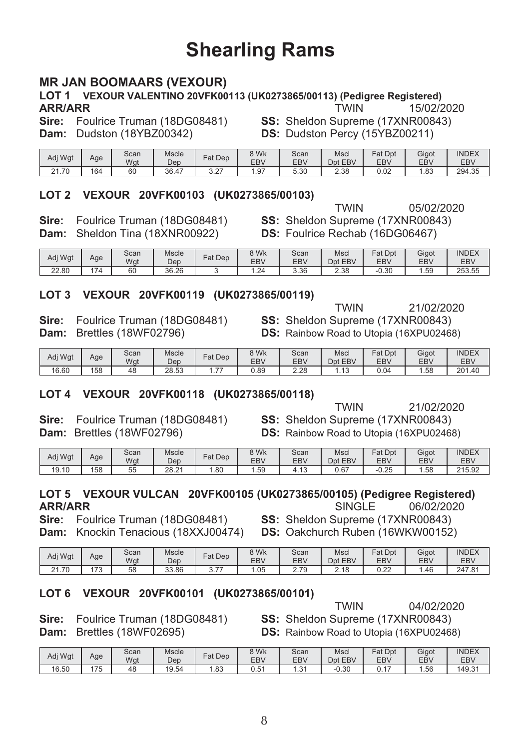## **Shearling Rams**

#### **MR JAN BOOMAARS (VEXOUR)**

#### LOT 1 VEXOUR VALENTINO 20VFK00113 (UK0273865/00113) (Pedigree Registered) **ARR/ARR TWIN** 15/02/2020

Sire: Foulrice Truman (18DG08481) Dam: Dudston (18YBZ00342)

SS: Sheldon Supreme (17XNR00843) DS: Dudston Percy (15YBZ00211)

| Adj Wgt | Age | Scan<br>Wgt | Mscle<br>Dep           | Dep<br>Fat    | 8 Wk<br><b>EBV</b> | Scan<br><b>EBV</b> | Mscl<br>EBV<br>Dnt | Fat Dpt<br>EBV | Gigot<br>EB\ | <b>INDEX</b><br>EB\ |
|---------|-----|-------------|------------------------|---------------|--------------------|--------------------|--------------------|----------------|--------------|---------------------|
| 21.70   | 164 | 60          | 36.47<br>$\rightarrow$ | $\sim$<br>ے.د | .97                | 5.30               | 2.38               | 0.02           | .83،         | 294.35              |

#### LOT 2 VEXOUR 20VFK00103 (UK0273865/00103)

Sire: Foulrice Truman (18DG08481) Dam: Sheldon Tina (18XNR00922)

**TWIN** 05/02/2020 SS: Sheldon Supreme (17XNR00843) DS: Foulrice Rechab (16DG06467)

| Adj Wgt | Age | Scan<br>Wat | Mscle<br>Dep | $F$ at Dep | 3 Wk<br>EBV            | Scan<br><b>EBV</b> | Mscl<br>EBV<br>Dnt | <sup>⊂</sup> at Dpt<br>EB\ | Gigot<br>EB\ | <b>INDEX</b><br><b>EBV</b> |
|---------|-----|-------------|--------------|------------|------------------------|--------------------|--------------------|----------------------------|--------------|----------------------------|
| 22.80   | 174 | 60          | 36.26        |            | 2 <sub>1</sub><br>$-1$ | 3.36               | 2.38               | $-0.30$                    | . 59         | 253.55                     |

#### LOT 3 VEXOUR 20VFK00119 (UK0273865/00119)

Sire: Foulrice Truman (18DG08481) Dam: Brettles (18WF02796)

21/02/2020 **TWIN** SS: Sheldon Supreme (17XNR00843) **DS:** Rainbow Road to Utopia (16XPU02468)

| Adj Wgt | Age | Scan<br>Wgt | Mscle<br>Dep | $F$ at Dep                   | 9 Wk<br>EBV | Scan<br><b>EBV</b> | Mscl<br>EBV<br>Dnt | Dpt<br>$F_{at}$<br>EBV | Gigot<br>EB\ | <b>INDEX</b><br><b>EBV</b> |
|---------|-----|-------------|--------------|------------------------------|-------------|--------------------|--------------------|------------------------|--------------|----------------------------|
| 16.60   | 158 | 48          | 28.53        | $\overline{\phantom{a}}$<br> | 0.89        | 2.28               | ں ا                | 0.04                   | .58          | 201.40                     |

#### LOT 4 VEXOUR 20VFK00118 (UK0273865/00118)

Sire: Foulrice Truman (18DG08481) Dam: Brettles (18WF02796)

**TWIN** 21/02/2020 SS: Sheldon Supreme (17XNR00843) **DS:** Rainbow Road to Utopia (16XPU02468)

| Adj Wgt | Age | Scan<br>Wgt | Mscle<br>Dep | $Fat$ Dep | 8 Wk<br>EB\ | Scan<br>EBV | Mscl<br>Dpt EBV | Fat Dpt<br>EB\ | Gigot<br>EB\ | <b>INDEX</b><br>EB\ |
|---------|-----|-------------|--------------|-----------|-------------|-------------|-----------------|----------------|--------------|---------------------|
| 19.10   | 158 | 55          | 28.21        | .80       | .59         | .13         | 0.67            | $-0.25$        | 58،،         | 215.92              |

#### LOT 5 VEXOUR VULCAN 20VFK00105 (UK0273865/00105) (Pedigree Registered) **ARR/ARR** SINGLE 06/02/2020

Sire: Foulrice Truman (18DG08481)

SS: Sheldon Supreme (17XNR00843) Dam: Knockin Tenacious (18XXJ00474) DS: Oakchurch Ruben (16WKW00152)

| Adi Wat | Age          | Scan<br>Wgt | Mscle<br>Dep | Fat Dep               | <b>SWK</b><br>EBV | Scan<br>EBV | Mscl<br>Dpt EBV | <b>Fat Dpt</b><br>EBV | Gigot<br>EBV | <b>INDEX</b><br><b>EBV</b> |
|---------|--------------|-------------|--------------|-----------------------|-------------------|-------------|-----------------|-----------------------|--------------|----------------------------|
| 21.70   | 70<br>$\sim$ | 58          | 33.86        | $\overline{ }$<br>◡.≀ | .05               | 2.79        | 2.18            | $\Omega$<br>U.ZZ      | . 46. ،      | 247.81                     |

#### LOT 6 VEXOUR 20VFK00101 (UK0273865/00101)

Sire: Foulrice Truman (18DG08481) Dam: Brettles (18WF02695)

SS: Sheldon Supreme (17XNR00843) **DS:** Rainbow Road to Utopia (16XPU02468)

**TWIN** 

| Adj Wgt | Age           | Scan<br>Wat | Mscle<br>Dep | Dep<br>Fat | 8 Wk<br>EB\ | Scan<br>EBV          | Mscl<br>EBV<br>Dpt | Fat<br>Dpt<br><b>EBV</b> | Gigot<br><b>EBV</b> | <b>INDEX</b><br><b>EBV</b> |
|---------|---------------|-------------|--------------|------------|-------------|----------------------|--------------------|--------------------------|---------------------|----------------------------|
| 16.50   | 175<br>$\sim$ | 48          | 19.54        | . . 83     | 0.51        | 2 <sub>1</sub><br>ں. | $-0.30$            |                          | 56،،                | 149.3 <sup>4</sup>         |

04/02/2020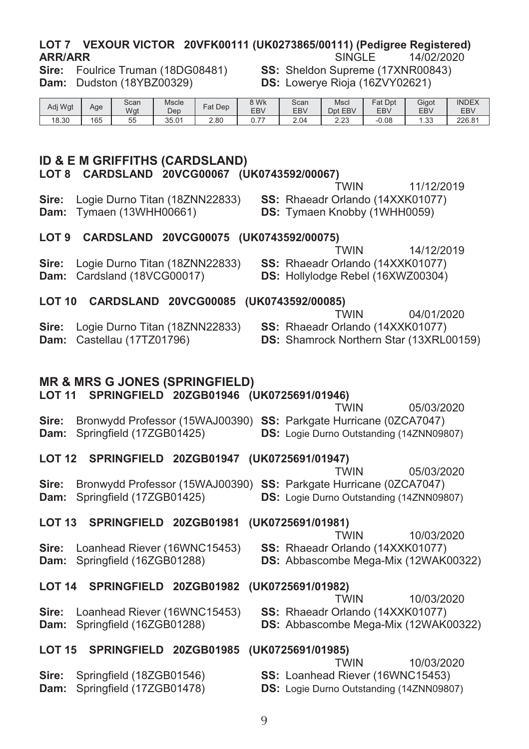#### LOT 7 VEXOUR VICTOR 20VFK00111 (UK0273865/00111) (Pediaree Reaistered) SINGLE. **ARR/ARR** 14/02/2020

Sire: Foulrice Truman (18DG08481) Dam: Dudston (18YBZ00329)

SS: Sheldon Supreme (17XNR00843) DS: Lowerye Rioja (16ZVY02621)

| Adj Wgt | Age | Scan<br>Wgt | <b>Mscle</b><br>Dep | $F$ at Dep | 9 Wk<br>EBV   | Scan<br><b>EBV</b> | Mscl<br>EBV<br>Dpt | <b>Fat Dpt</b><br>EBV | Gigot<br>EB\    | <b>INDEX</b><br>EBV |
|---------|-----|-------------|---------------------|------------|---------------|--------------------|--------------------|-----------------------|-----------------|---------------------|
| 18.30   | 165 | 55<br>◡     | 35.01               | 2.80       | $- -$<br>ν. ι | 2.04               | ר ה<br>د.ده        | $-0.08$               | $\sim$<br>. ٽن. | 226.81              |

#### ID & E M GRIFFITHS (CARDSLAND)

LOT 8 CARDSLAND 20VCG00067 (UK0743592/00067)

Sire: Logie Durno Titan (18ZNN22833) **Dam:** Tymaen (13WHH00661)

**TWIN** 11/12/2019 SS: Rhaeadr Orlando (14XXK01077)

DS: Tymaen Knobby (1WHH0059)

**TWIN** 

SS: Rhaeadr Orlando (14XXK01077) **DS:** Shamrock Northern Star (13XRL00159)

#### LOT 9 CARDSLAND 20VCG00075 (UK0743592/00075)

Sire: Logie Durno Titan (18ZNN22833) Dam: Cardsland (18VCG00017)

14/12/2019 **TWIN** SS: Rhaeadr Orlando (14XXK01077) DS: Hollylodge Rebel (16XWZ00304)

04/01/2020

05/03/2020

#### LOT 10 CARDSLAND 20VCG00085 (UK0743592/00085)

Sire: Logie Durno Titan (18ZNN22833) Dam: Castellau (17TZ01796)

**MR & MRS G JONES (SPRINGFIELD)** LOT 11 SPRINGFIELD 20ZGB01946 (UK0725691/01946) **TWIN** Bronwydd Professor (15WAJ00390) SS: Parkgate Hurricane (0ZCA7047) Sire:

Dam: Springfield (17ZGB01425) **DS:** Logie Durno Outstanding (14ZNN09807)

## LOT 12 SPRINGFIELD 20ZGB01947 (UK0725691/01947)

05/03/2020 **TWIN** Sire: Bronwydd Professor (15WAJ00390) SS: Parkgate Hurricane (0ZCA7047) Dam: Springfield (17ZGB01425) **DS:** Logie Durno Outstanding (14ZNN09807)

LOT 13 SPRINGFIELD 20ZGB01981 (UK0725691/01981) **TWIN** 10/03/2020 Sire: Loanhead Riever (16WNC15453) SS: Rhaeadr Orlando (14XXK01077) Dam: Springfield (16ZGB01288) DS: Abbascombe Mega-Mix (12WAK00322)

#### LOT 14 SPRINGFIELD 20ZGB01982 (UK0725691/01982) **TWIN**

Sire: Loanhead Riever (16WNC15453) Dam: Springfield (16ZGB01288)

#### 10/03/2020 SS: Rhaeadr Orlando (14XXK01077)

**DS:** Abbascombe Mega-Mix (12WAK00322)

|                                       | LOT 15 SPRINGFIELD 20ZGB01985 (UK0725691/01985) |            |
|---------------------------------------|-------------------------------------------------|------------|
|                                       | TWIN                                            | 10/03/2020 |
| <b>Sire:</b> Springfield (18ZGB01546) | <b>SS: Loanhead Riever (16WNC15453)</b>         |            |

- Dam: Springfield (17ZGB01478)
- **DS:** Logie Durno Outstanding (14ZNN09807)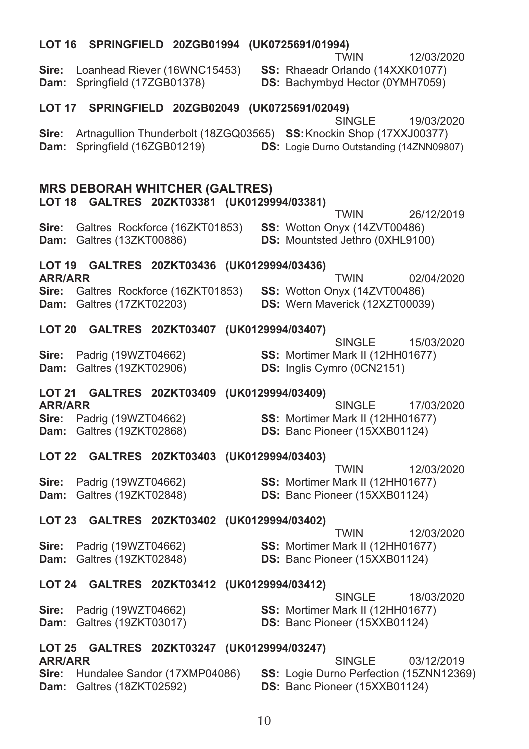|                                        | LOT 16 SPRINGFIELD 20ZGB01994 (UK0725691/01994)                                                              |  |                                                                                           |            |
|----------------------------------------|--------------------------------------------------------------------------------------------------------------|--|-------------------------------------------------------------------------------------------|------------|
| Sire:                                  | Loanhead Riever (16WNC15453)<br>Dam: Springfield (17ZGB01378)                                                |  | TWIN<br>SS: Rhaeadr Orlando (14XXK01077)<br>DS: Bachymbyd Hector (0YMH7059)               | 12/03/2020 |
|                                        | LOT 17 SPRINGFIELD 20ZGB02049 (UK0725691/02049)                                                              |  |                                                                                           |            |
|                                        | Sire: Artnagullion Thunderbolt (18ZGQ03565) SS: Knockin Shop (17XXJ00377)<br>Dam: Springfield (16ZGB01219)   |  | <b>SINGLE</b><br><b>DS:</b> Logie Durno Outstanding (14ZNN09807)                          | 19/03/2020 |
|                                        | <b>MRS DEBORAH WHITCHER (GALTRES)</b><br>LOT 18 GALTRES 20ZKT03381 (UK0129994/03381)                         |  | TWIN                                                                                      | 26/12/2019 |
| Sire:                                  | Galtres Rockforce (16ZKT01853) SS: Wotton Onyx (14ZVT00486)<br>Dam: Galtres (13ZKT00886)                     |  | <b>DS:</b> Mountsted Jethro (0XHL9100)                                                    |            |
|                                        | LOT 19 GALTRES 20ZKT03436 (UK0129994/03436)                                                                  |  |                                                                                           |            |
| <b>ARR/ARR</b>                         | <b>Sire:</b> Galtres Rockforce (16ZKT01853) <b>SS:</b> Wotton Onyx (14ZVT00486)<br>Dam: Galtres (17ZKT02203) |  | TWIN<br>DS: Wern Maverick (12XZT00039)                                                    | 02/04/2020 |
|                                        | LOT 20 GALTRES 20ZKT03407 (UK0129994/03407)                                                                  |  |                                                                                           |            |
| Sire:                                  | Padrig (19WZT04662)<br>Dam: Galtres (19ZKT02906)                                                             |  | <b>SINGLE</b><br>SS: Mortimer Mark II (12HH01677)<br>DS: Inglis Cymro (0CN2151)           | 15/03/2020 |
|                                        | LOT 21 GALTRES 20ZKT03409 (UK0129994/03409)                                                                  |  |                                                                                           |            |
| <b>ARR/ARR</b>                         | Sire: Padrig (19WZT04662)<br>Dam: Galtres (19ZKT02868)                                                       |  | <b>SINGLE</b><br><b>SS: Mortimer Mark II (12HH01677)</b><br>DS: Banc Pioneer (15XXB01124) | 17/03/2020 |
|                                        | LOT 22 GALTRES 20ZKT03403 (UK0129994/03403)                                                                  |  |                                                                                           |            |
| Sire:                                  | Padrig (19WZT04662)<br>Dam: Galtres (19ZKT02848)                                                             |  | <b>TWIN</b><br>SS: Mortimer Mark II (12HH01677)<br><b>DS: Banc Pioneer (15XXB01124)</b>   | 12/03/2020 |
|                                        | LOT 23 GALTRES 20ZKT03402 (UK0129994/03402)                                                                  |  |                                                                                           |            |
| Sire:<br>Dam:                          | Padrig (19WZT04662)<br>Galtres (19ZKT02848)                                                                  |  | <b>TWIN</b><br>SS: Mortimer Mark II (12HH01677)<br><b>DS:</b> Banc Pioneer (15XXB01124)   | 12/03/2020 |
|                                        | LOT 24 GALTRES 20ZKT03412 (UK0129994/03412)                                                                  |  |                                                                                           |            |
| Sire:                                  | Padrig (19WZT04662)<br>Dam: Galtres (19ZKT03017)                                                             |  | <b>SINGLE</b><br>SS: Mortimer Mark II (12HH01677)<br><b>DS: Banc Pioneer (15XXB01124)</b> | 18/03/2020 |
|                                        | LOT 25 GALTRES 20ZKT03247 (UK0129994/03247)                                                                  |  |                                                                                           |            |
| <b>ARR/ARR</b><br>Sire:<br><b>Dam:</b> | Hundalee Sandor (17XMP04086)<br>Galtres (18ZKT02592)                                                         |  | <b>SINGLE</b><br>SS: Logie Durno Perfection (15ZNN12369)<br>DS: Banc Pioneer (15XXB01124) | 03/12/2019 |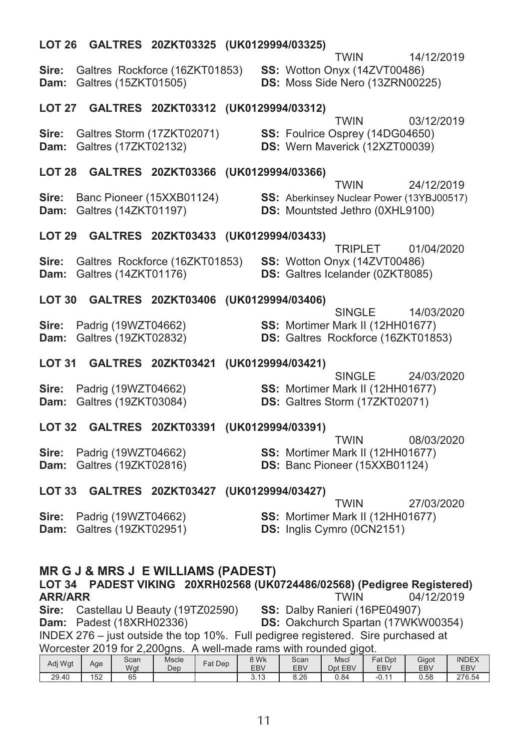|                |                           | LOT 26 GALTRES 20ZKT03325 (UK0129994/03325)                                            |  | TWIN                                                                                                                    | 14/12/2019 |
|----------------|---------------------------|----------------------------------------------------------------------------------------|--|-------------------------------------------------------------------------------------------------------------------------|------------|
|                | Dam: Galtres (15ZKT01505) |                                                                                        |  | Sire: Galtres Rockforce (16ZKT01853) SS: Wotton Onyx (14ZVT00486)<br>DS: Moss Side Nero (13ZRN00225)                    |            |
|                |                           | LOT 27 GALTRES 20ZKT03312 (UK0129994/03312)                                            |  | TWIN                                                                                                                    | 03/12/2019 |
|                | Dam: Galtres (17ZKT02132) | Sire: Galtres Storm (17ZKT02071)                                                       |  | SS: Foulrice Osprey (14DG04650)<br>DS: Wern Maverick (12XZT00039)                                                       |            |
|                |                           | LOT 28 GALTRES 20ZKT03366 (UK0129994/03366)                                            |  | <b>TWIN</b>                                                                                                             | 24/12/2019 |
| Sire:          | Dam: Galtres (14ZKT01197) | Banc Pioneer (15XXB01124)                                                              |  | SS: Aberkinsey Nuclear Power (13YBJ00517)<br>DS: Mountsted Jethro (0XHL9100)                                            |            |
|                |                           | LOT 29 GALTRES 20ZKT03433 (UK0129994/03433)                                            |  |                                                                                                                         |            |
| Sire:          | Dam: Galtres (14ZKT01176) | Galtres Rockforce (16ZKT01853)                                                         |  | <b>TRIPLET</b><br>SS: Wotton Onyx (14ZVT00486)<br>DS: Galtres Icelander (0ZKT8085)                                      | 01/04/2020 |
|                |                           | LOT 30 GALTRES 20ZKT03406 (UK0129994/03406)                                            |  |                                                                                                                         |            |
| Sire:<br>Dam:  |                           | Padrig (19WZT04662)<br>Galtres (19ZKT02832)                                            |  | <b>SINGLE</b><br>SS: Mortimer Mark II (12HH01677)<br>DS: Galtres Rockforce (16ZKT01853)                                 | 14/03/2020 |
|                |                           | LOT 31 GALTRES 20ZKT03421 (UK0129994/03421)                                            |  | <b>SINGLE</b>                                                                                                           | 24/03/2020 |
| Sire:<br>Dam:  |                           | Padrig (19WZT04662)<br>Galtres (19ZKT03084)                                            |  | SS: Mortimer Mark II (12HH01677)<br>DS: Galtres Storm (17ZKT02071)                                                      |            |
|                |                           | LOT 32 GALTRES 20ZKT03391 (UK0129994/03391)                                            |  |                                                                                                                         |            |
| Sire:          |                           | Padrig (19WZT04662)<br>Dam: Galtres (19ZKT02816)                                       |  | <b>TWIN</b><br>SS: Mortimer Mark II (12HH01677)<br>DS: Banc Pioneer (15XXB01124)                                        | 08/03/2020 |
|                |                           | LOT 33 GALTRES 20ZKT03427 (UK0129994/03427)                                            |  |                                                                                                                         |            |
| Sire:<br>Dam:  |                           | Padrig (19WZT04662)<br>Galtres (19ZKT02951)                                            |  | <b>TWIN</b><br>SS: Mortimer Mark II (12HH01677)<br><b>DS:</b> Inglis Cymro (0CN2151)                                    | 27/03/2020 |
| <b>ARR/ARR</b> |                           | <b>MR G J &amp; MRS J E WILLIAMS (PADEST)</b><br>Sire: Castellau II Beauty (19T702590) |  | LOT 34 PADEST VIKING 20XRH02568 (UK0724486/02568) (Pedigree Registered)<br><b>TWIN</b><br>SS: Dalby Ranieri (16PF04907) | 04/12/2019 |

**Sire:** Castellau O Beauty (191202590) **SS:** Dalby Rahlen (10PE04907)<br> **Dam:** Padest (18XRH02336) **DS:** Oakchurch Spartan (17WKW00354)<br>
INDEX 276 – just outside the top 10%. Full pedigree registered. Sire purchased at<br>
Wor

|  |         |     |      |       |            |                           |            | ັ       |               |       |              |
|--|---------|-----|------|-------|------------|---------------------------|------------|---------|---------------|-------|--------------|
|  | Adj Wgt |     | Scan | Mscle | $F$ at Dep | <b>RWK</b>                | Scan       | Mscl    | $F$ at<br>Dpt | Gigot | <b>INDEX</b> |
|  |         | Age | Wgt  | Dep   |            | <b>EBV</b>                | <b>EBV</b> | Dpt EBV | EBV           | EBV   | <b>EBV</b>   |
|  | 29.40   | 152 | 65   |       |            | $\Lambda$ $\sim$<br>J. IJ | 8.26       | 0.84    | A<br>-U. I    | 0.58  | 276.54       |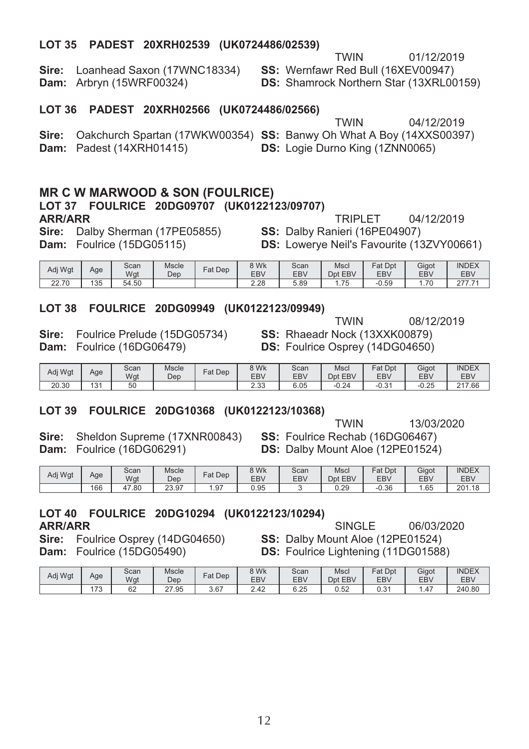#### LOT 35 PADEST 20XRH02539 (UK0724486/02539)

01/12/2019

Sire: Loanhead Saxon (17WNC18334) Dam: Arbryn (15WRF00324)

**TWIN** SS: Wernfawr Red Bull (16XEV00947)

**DS:** Shamrock Northern Star (13XRL00159)

#### LOT 36 PADEST 20XRH02566 (UK0724486/02566)

|                                                                                         | TWIN                                   | 04/12/2019 |
|-----------------------------------------------------------------------------------------|----------------------------------------|------------|
| <b>Sire:</b> Oakchurch Spartan (17WKW00354) <b>SS:</b> Banwy Oh What A Boy (14XXS00397) |                                        |            |
| <b>Dam:</b> Padest (14XRH01415)                                                         | <b>DS:</b> Logie Durno King (1ZNN0065) |            |

#### **MR C W MARWOOD & SON (FOULRICE)**

#### LOT 37 FOULRICE 20DG09707 (UK0122123/09707) **ARR/ARR TRIPLET** Sire: Dalby Sherman (17PE05855)

Dam: Foulrice (15DG05115)

04/12/2019 SS: Dalby Ranieri (16PE04907) DS: Lowerye Neil's Favourite (13ZVY00661)

| Adi Wat | Age | Scan<br>Wgt | Mscle<br>Dep | $F$ at Dep | <b>SWK</b><br>EBV | Scan<br><b>EBV</b> | Mscl<br>EBV<br>Dpt | Fat Dpt<br>EBV | Gigot<br>EB\ | <b>INDEX</b><br><b>EBV</b> |
|---------|-----|-------------|--------------|------------|-------------------|--------------------|--------------------|----------------|--------------|----------------------------|
| 22.70   | 135 | 54.50       |              |            | 2.28              | 5.89               | $- -$<br>75        | $-0.59$        | 70           | 077                        |

#### LOT 38 FOULRICE 20DG09949 (UK0122123/09949)

Sire: Foulrice Prelude (15DG05734) Dam: Foulrice (16DG06479)

**TWIN** 08/12/2019 SS: Rhaeadr Nock (13XXK00879) DS: Foulrice Osprey (14DG04650)

| Adj Wgt | Age      | Scan<br>Wgt | <b>Mscle</b><br>Dep | Dep<br>Fat | 8 Wk<br>EB\ | Scan<br>EBV | Mscl<br>EBV<br>Dpt | Fat<br>Dpt<br><b>EBV</b> | Gigot<br><b>EBV</b> | <b>INDEX</b><br>EBV |
|---------|----------|-------------|---------------------|------------|-------------|-------------|--------------------|--------------------------|---------------------|---------------------|
| 20.30   | 101<br>◡ | 50          |                     |            | ววว<br>ں نہ | 6.05        | 0.21<br>-0.24      | $\sim$<br>n.<br>-u.s.    | $-0.25$             | 217.66              |

#### LOT 39 FOULRICE 20DG10368 (UK0122123/10368)

Sire: Sheldon Supreme (17XNR00843) Dam: Foulrice (16DG06291)

**TWIN** 13/03/2020 SS: Foulrice Rechab (16DG06467) DS: Dalby Mount Aloe (12PE01524)

| Adj Wgt | Age | Scan<br>Wgt | Mscle<br>Dep | $Fat$ Dep | 8 Wk<br><b>EBV</b> | Scan<br><b>EBV</b> | Mscl<br>Dpt EBV | <sup>⊂</sup> at Dpt<br>EBV | Gigot<br>EB\ | <b>INDEX</b><br>EBV |
|---------|-----|-------------|--------------|-----------|--------------------|--------------------|-----------------|----------------------------|--------------|---------------------|
|         | 166 | 47<br>.80   | 23.97        | . 97      | 0.95               |                    | 0.29            | $-0.36$                    | .65          | 201.18              |

#### LOT 40 FOULRICE 20DG10294 (UK0122123/10294) **ARR/ARR**

06/03/2020 SINGLE

Sire: Foulrice Osprey (14DG04650) Dam: Foulrice (15DG05490)

SS: Dalby Mount Aloe (12PE01524) **DS:** Foulrice Lightening (11DG01588)

| Adi Wat | Age          | Scan<br>Wgt  | Mscle<br>Dep | $=$ at<br>Dep | 8 Wk<br>EB\ | Scan<br><b>EBV</b> | Mscl<br>Dpt EBV | Fat Dpt<br>EBV | Gigot<br>EB\ | <b>INDEX</b><br>EBV |
|---------|--------------|--------------|--------------|---------------|-------------|--------------------|-----------------|----------------|--------------|---------------------|
|         | 170<br>د ، ا | $\sim$<br>υ∠ | 27.95        | 3.67          | 2.42        | 6.25               | 0.52            | 0.31           | i.47         | 240.80              |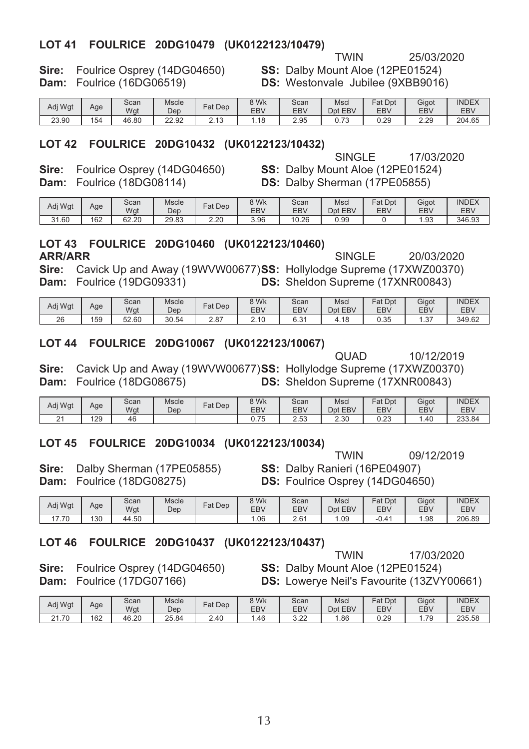#### LOT 41 FOULRICE 20DG10479 (UK0122123/10479)

25/03/2020

Sire: Foulrice Osprey (14DG04650) Dam: Foulrice (16DG06519)

SS: Dalby Mount Aloe (12PE01524) **DS:** Westonvale Jubilee (9XBB9016)

**TWIN** 

| Adj Wgt | Age | Scan<br>Wgt | Mscle<br>Dep | Fat Dep                   | 3 Wk<br>EBV | Scan<br>EBV | Mscl<br><b>EBV</b><br>Dpt         | Fat<br>Dpt<br><b>EBV</b> | Gigot<br>EB <sub>V</sub> | <b>INDEX</b><br>EBV |
|---------|-----|-------------|--------------|---------------------------|-------------|-------------|-----------------------------------|--------------------------|--------------------------|---------------------|
| 23.90   | 154 | 46.80       | 22.92        | $\overline{a}$<br>د . ا ب | . 18        | 2.95        | $\overline{70}$<br>ر.<br>$\cup$ . | 0.29                     | 2.29                     | 204.65              |

#### LOT 42 FOULRICE 20DG10432 (UK0122123/10432)

Sire: Foulrice Osprey (14DG04650) Dam: Foulrice (18DG08114)

SINGLE 17/03/2020 SS: Dalby Mount Aloe (12PE01524) DS: Dalby Sherman (17PE05855)

| Adj Wgt | Age | Scan<br>Wgt | Mscle<br>Dep | Fat Dep | 3 Wk<br><b>EBV</b> | Scan<br><b>EBV</b> | Mscl<br><b>EBV</b><br>Dnt | Fat Dpt<br>EBV | Gigot<br>EB\ | <b>INDEX</b><br>EBV |
|---------|-----|-------------|--------------|---------|--------------------|--------------------|---------------------------|----------------|--------------|---------------------|
| 31.60   | 162 | 62.20       | 29.83        | 2.20    | 3.96               | 0.26<br>10         | 0.99                      |                | . 93         | 346.93              |

#### LOT 43 FOULRICE 20DG10460 (UK0122123/10460) **ARR/ARR**

**SINGLF** 20/03/2020

10/12/2019

Sire: Cavick Up and Away (19WVW00677)SS: Hollylodge Supreme (17XWZ00370) Dam: Foulrice (19DG09331) **DS:** Sheldon Supreme (17XNR00843)

| Adj Wgt | Age | Scan<br>Wgt | Mscle<br>Dep | <b>Fat Dep</b> | 3 Wk<br><b>EBV</b> | Scan<br><b>EBV</b> | Mscl<br>Dpt EBV | Fat Dpt<br>EBV | Gigot<br>EB\   | <b>INDEX</b><br>EB\ |
|---------|-----|-------------|--------------|----------------|--------------------|--------------------|-----------------|----------------|----------------|---------------------|
| 26      | 159 | 52.60       | 30.54        | 2.87           | 2.10               | 0.24<br>0.JI       | 4.18            | 0.35           | $\sim$<br>ں. ا | 349.62              |

#### LOT 44 FOULRICE 20DG10067 (UK0122123/10067)

Sire: Cavick Up and Away (19WVW00677)SS: Hollylodge Supreme (17XWZ00370) Dam: Foulrice (18DG08675) **DS:** Sheldon Supreme (17XNR00843)

| Adi Wat        | Age | Scan<br>Wat | Mscle<br>Dep | $at$ Dep | 8 Wk<br>EB\     | Scan<br><b>EBV</b> | Mscl<br>EBV<br>Dpt | Fat<br>Dpt<br>EBV | Gigot<br>EB <sub>V</sub> | <b>INDEX</b><br>EBV |
|----------------|-----|-------------|--------------|----------|-----------------|--------------------|--------------------|-------------------|--------------------------|---------------------|
| c.<br><u>.</u> | 129 | 46          |              |          | $- -$<br>v. 1 J | 52<br>ں ن          | ว วก<br>ے.ت        | 0.00<br>u.zo      | .40                      | 233.84              |

#### LOT 45 FOULRICE 20DG10034 (UK0122123/10034)

**TWIN** 09/12/2019

Sire: Dalby Sherman (17PE05855) Dam: Foulrice (18DG08275)

SS: Dalby Ranieri (16PE04907) DS: Foulrice Osprey (14DG04650)

**QUAD** 

| Adi Wat | Age | Scan<br>Wgt | <b>Mscle</b><br>Dep | $=$ at<br>Dep | 8 Wk<br>EB\ | Scan<br>EBV | Mscl<br>Dpt EBV | $F_{at}$<br>Dpt<br>EBV | Gigot<br>EB\ | <b>INDEX</b><br>EBV |
|---------|-----|-------------|---------------------|---------------|-------------|-------------|-----------------|------------------------|--------------|---------------------|
| (7.70)  | 130 | 44.50       |                     |               | .06         | 2.61        | 1.09            | Δ<br>-u.               | 1.98         | 206.89              |

#### LOT 46 FOULRICE 20DG10437 (UK0122123/10437)

Sire: Foulrice Osprey (14DG04650) Dam: Foulrice (17DG07166)

**TWIN** 17/03/2020 SS: Dalby Mount Aloe (12PE01524) DS: Lowerye Neil's Favourite (13ZVY00661)

| Adj Wgt | Age | Scan<br>Wgt | <b>Mscle</b><br>Dep | Fat Dep           | 8 Wk<br><b>EBV</b> | Scan<br>EBV  | Mscl<br>EBV<br><b>D</b> nt | Fat Dpt<br>EBV | Gigot<br>EB\ | <b>INDEX</b><br><b>EBV</b> |
|---------|-----|-------------|---------------------|-------------------|--------------------|--------------|----------------------------|----------------|--------------|----------------------------|
| 21.70   | 162 | 46.20       | 25.84               | .40<br><u>. .</u> | .46                | 0.00<br>J.LL | . 86                       | 0.29           | 70           | 235.58                     |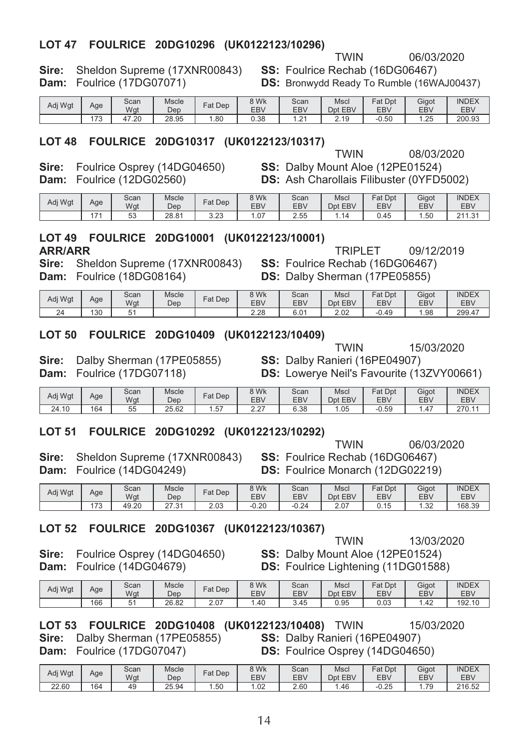#### LOT 47 FOULRICE 20DG10296 (UK0122123/10296)

| <b>Sire:</b> Sheldon Supreme (17XNR00843) |
|-------------------------------------------|
| <b>Dam:</b> Foulrice (17DG07071)          |

SS: Foulrice Rechab (16DG06467)

**TWIN** 

**DS:** Bronwydd Ready To Rumble (16WAJ00437)

06/03/2020

| Adj Wgt | Age       | Scan<br>Wgt | Mscle<br>Dep | <sup>⊏</sup> at Dep | 8 Wk<br><b>EBV</b> | Scan<br><b>EBV</b> | Mscl<br><b>EBV</b><br>Dpt | Fat<br>Dpt<br>EBV | Gigot<br>EB\ | <b>INDEX</b><br>EBV |
|---------|-----------|-------------|--------------|---------------------|--------------------|--------------------|---------------------------|-------------------|--------------|---------------------|
|         | 170<br>70 | .20<br>.    | 28.95        | .80                 | 0.38               | $\sim$<br>. Z      | 2.19                      | $-0.50$           | .25          | 200.93              |

#### LOT 48 FOULRICE 20DG10317 (UK0122123/10317)

Sire: Foulrice Osprey (14DG04650)

Dam: Foulrice (12DG02560)

**TWIN** 08/03/2020 SS: Dalby Mount Aloe (12PE01524) **DS:** Ash Charollais Filibuster (0YFD5002)

| Adj Wgt | Age  | Scan<br>Wgt | Mscle<br>Dep | $Fat$ Dep | 3 Wk<br><b>EBV</b> | Scan<br>EBV | Mscl<br>Dpt EBV | $F$ at Dpt<br>EBV | Gigot<br><b>EBV</b> | <b>INDEX</b><br><b>EBV</b> |
|---------|------|-------------|--------------|-----------|--------------------|-------------|-----------------|-------------------|---------------------|----------------------------|
|         | $-1$ | 53<br>ິ     | 28.81        | 3.23      | 07                 | 2.55        |                 | 0.45              | . . 50              | 211.31                     |

#### LOT 49 FOULRICE 20DG10001 (UK0122123/10001)

#### **ARR/ARR**

TRIPI FT Sire: Sheldon Supreme (17XNR00843) SS: Foulrice Rechab (16DG06467)

Dam: Foulrice (18DG08164)

| Adj Wgt | Age | Scan<br>Wgt | Mscle<br>Dep | Fat Dep | 3 Wk<br>EBV | Scan<br><b>EBV</b> | Mscl<br>Dpt EBV | <b>Fat Dpt</b><br>EBV | Gigot<br>EB\ | <b>INDEX</b><br>EBV |
|---------|-----|-------------|--------------|---------|-------------|--------------------|-----------------|-----------------------|--------------|---------------------|
| 24      | 130 | 51<br>ັ     |              |         | 2.28        | 6.01               | $\cap$<br>Z.UZ  | .49<br>$-0.$          | .98          | 299.47              |

#### LOT 50 FOULRICE 20DG10409 (UK0122123/10409)

Sire: Dalby Sherman (17PE05855) Dam: Foulrice (17DG07118)

SS: Dalby Ranieri (16PE04907) **DS:** Lowerve Neil's Favourite (13ZVY00661)

| Adj Wgt | Age | Scan<br>Wgt | Mscle<br>Dep | Fat<br>Dep | 3 Wk<br>EBV                       | Scan<br><b>EBV</b> | Mscl<br><b>EBV</b><br>Dnt | Fat<br>Dpt<br>EBV | Gigot<br>EB\ | <b>INDEX</b><br>EBV |
|---------|-----|-------------|--------------|------------|-----------------------------------|--------------------|---------------------------|-------------------|--------------|---------------------|
| 24.10   | 164 | $-1$<br>55  | 25.62<br>つに  | $-$<br>، ب | $\sim$<br>$\epsilon$ . $\epsilon$ | 6.38               | .05                       | $-0.59$           | 4. ا         | 270.11              |

#### LOT 51 FOULRICE 20DG10292 (UK0122123/10292)

Sire: Sheldon Supreme (17XNR00843) Dam: Foulrice (14DG04249)

**TWIN** 06/03/2020 SS: Foulrice Rechab (16DG06467) DS: Foulrice Monarch (12DG02219)

| Adj Wgt | Age          | Scan<br>Wgt | Mscle<br>Dep             | $F$ at Dep | 3 Wk<br>EBV | Scan<br><b>EBV</b> | Mscl<br>EBV<br>Dpt | Fat<br>Dpt<br>EBV | Gigot<br>EB\      | <b>INDEX</b><br>EBV |
|---------|--------------|-------------|--------------------------|------------|-------------|--------------------|--------------------|-------------------|-------------------|---------------------|
|         | 172<br>. . ب | 49.20       | $\sim$<br>24<br>ا ق. ا ک | 2.03       | $-0.20$     | $-0.24$            | 2.07               | 0.15              | $\Omega$<br>ےں. ا | 168.39              |

#### LOT 52 FOULRICE 20DG10367 (UK0122123/10367)

Sire: Foulrice Osprey (14DG04650) Dam: Foulrice (14DG04679)

**TWIN** 13/03/2020 SS: Dalby Mount Aloe (12PE01524) DS: Foulrice Lightening (11DG01588)

| Adj Wgt | Age | Scan<br>Wgt | Mscle<br>Dep | Fat Dep | 3 Wk<br>EBV | Scan<br><b>EBV</b> | Mscl<br>Dpt EBV | Dpt<br>Fat<br><b>EBV</b> | Gigot<br>EB\ | <b>INDEX</b><br>EB\ |
|---------|-----|-------------|--------------|---------|-------------|--------------------|-----------------|--------------------------|--------------|---------------------|
|         | 166 | -           | 26.82        | 2.07    | .40         | 3.45               | 0.95            | 0.03                     | .42          | 192.10              |

LOT 53 FOULRICE 20DG10408 (UK0122123/10408) TWIN

| Sire: | Dalby Sherman (17PE05855)        |
|-------|----------------------------------|
|       | <b>Dam:</b> Foulrice (17DG07047) |

SS: Dalby Ranieri (16PE04907) DS: Foulrice Osprey (14DG04650)

| 'i Wgt |     | Scan | Mscle             | Fat Dep | <b>SWK</b> | Scan | Mscl    | at Dpt        | Gigot      | <b>INDEX</b> |
|--------|-----|------|-------------------|---------|------------|------|---------|---------------|------------|--------------|
|        | Age | Wat  | Dep               |         | EBV        | EBV  | Dpt EBV | EB\           | <b>EBV</b> | EBV          |
| 22.60  | 164 | 49   | $\Omega$<br>∠5.94 | . .50   | .02        | 2.60 | .46     | 0.25<br>∙U.∠5 | 70         | 216.52       |

DS: Dalby Sherman (17PE05855)

09/12/2019

15/03/2020

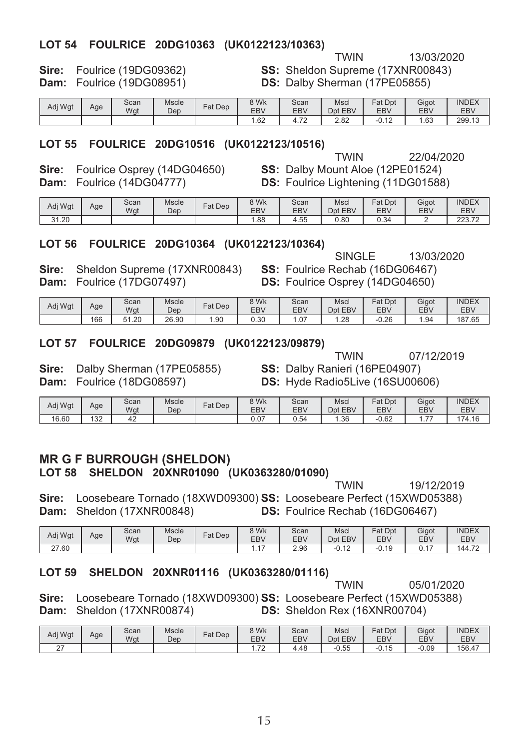#### LOT 54 FOULRICE 20DG10363 (UK0122123/10363)

13/03/2020

Sire: Foulrice (19DG09362) Dam: Foulrice (19DG08951)

**TWIN** SS: Sheldon Supreme (17XNR00843) DS: Dalby Sherman (17PE05855)

| Adj Wgt | Age | Scan<br>Wgt | <b>Mscle</b><br>Dep | $F$ at Dep | 3 Wk<br><b>EBV</b> | Scan<br>EBV                      | Mscl<br>Dpt EBV | Fat Dpt<br>EBV               | Gigot<br><b>EBV</b> | <b>INDEX</b><br><b>EBV</b> |
|---------|-----|-------------|---------------------|------------|--------------------|----------------------------------|-----------------|------------------------------|---------------------|----------------------------|
|         |     |             |                     |            | .62                | $\overline{\phantom{a}}$<br>1.12 | ר ה<br>Z.OZ     | .4 <sup>o</sup><br>-v.<br>14 | .63،                | 299.13                     |

#### LOT 55 FOULRICE 20DG10516 (UK0122123/10516)

Sire: Foulrice Osprey (14DG04650) Dam: Foulrice (14DG04777)

**TWIN** 22/04/2020 SS: Dalby Mount Aloe (12PE01524) **DS:** Foulrice Lightening (11DG01588)

| Adj Wgt | Age | Scan<br>Wgt | Mscle<br>Dep | Fat Dep | 3 Wk<br><b>EBV</b> | Scan<br><b>EBV</b> | Mscl<br>EBV<br>Dpt | Fat<br>Dpt<br>EBV | Gigot<br>EBV | <b>INDEX</b><br>EBV              |
|---------|-----|-------------|--------------|---------|--------------------|--------------------|--------------------|-------------------|--------------|----------------------------------|
| 31.20   |     |             |              |         | .88                | 55ء                | 0.80               | 0.34              |              | כרר<br>$\overline{z}$<br>223.I Z |

#### LOT 56 FOULRICE 20DG10364 (UK0122123/10364)

SINGLE 13/03/2020

07/12/2019

Sire: Sheldon Supreme (17XNR00843) Dam: Foulrice (17DG07497)

SS: Foulrice Rechab (16DG06467) DS: Foulrice Osprey (14DG04650)

| Adj Wgt | Age | Scan<br>Wat                | Mscle<br>Dep | Fat Dep | 9 Wk<br>EBV | Scan<br>EBV       | Mscl<br>Dpt EBV | $=$ at<br>Dpt<br>EBV | Gigot<br>EBV | <b>INDEX</b><br><b>EBV</b> |
|---------|-----|----------------------------|--------------|---------|-------------|-------------------|-----------------|----------------------|--------------|----------------------------|
|         | 166 | F <sub>1</sub><br>.20<br>ັ | 26.90        | .90     | 0.30        | $^{\circ}$<br>I.V | 1.28            | $-0.26$              | .94          | 187.65                     |

#### LOT 57 FOULRICE 20DG09879 (UK0122123/09879)

Sire: Dalby Sherman (17PE05855) Dam: Foulrice (18DG08597)

**TWIN** SS: Dalby Ranieri (16PE04907) DS: Hyde Radio5Live (16SU00606)

| Adj Wgt | Age        | Scan<br>Wgt  | <b>Mscle</b><br>Dep | $=$ at<br>Dep | 8 Wk<br>EB\ | Scan<br>EBV | Mscl<br>EBV<br>Dpt | Fat<br>Dpt<br>EBV | Gigot<br>EB <sub>V</sub>      | <b>INDEX</b><br><b>EBV</b> |
|---------|------------|--------------|---------------------|---------------|-------------|-------------|--------------------|-------------------|-------------------------------|----------------------------|
| 16.60   | 122<br>ے ت | $\sim$<br>42 |                     |               | 0.07        | J.54        | .36،               | 0.62              | $\overline{\phantom{a}}$<br>. | 174.16                     |

#### **MR G F BURROUGH (SHELDON)** LOT 58 SHELDON 20XNR01090 (UK0363280/01090)

**TWIN** 19/12/2019 Sire: Loosebeare Tornado (18XWD09300) SS: Loosebeare Perfect (15XWD05388) Dam: Sheldon (17XNR00848) **DS: Foulrice Rechab (16DG06467)** 

| Adj Wgt              | Age | Scan<br>Wat | Mscle<br>Dep | $=$ at<br>Dep | 8 Wk<br>EB\        | Scan<br>EBV | Mscl<br>EBV<br>Dpt | Fat<br>Dpt<br><b>EBV</b> | Gigot<br>EBV | <b>INDEX</b><br>EBV |
|----------------------|-----|-------------|--------------|---------------|--------------------|-------------|--------------------|--------------------------|--------------|---------------------|
| .60<br>$\sim$<br>، ے |     |             |              |               | $\rightarrow$<br>. | 2.96        | $\sim$<br>$-U. IL$ | 19<br>-v.,               | ◡. ୲         | 144.72              |

#### LOT 59 SHELDON 20XNR01116 (UK0363280/01116)

**TWIN** 05/01/2020 Sire: Loosebeare Tornado (18XWD09300) SS: Loosebeare Perfect (15XWD05388) Dam: Sheldon (17XNR00874) **DS:** Sheldon Rex (16XNR00704)

| Adj Wgt | Age | Scan<br>Wgt | Mscle<br>Dep | Fat Dep | 8 Wk<br><b>EBV</b> | Scan<br><b>EBV</b> | Mscl<br>Dpt EBV | Fat Dpt<br>EB\ | Gigot<br>EB\ | <b>INDEX</b><br>EBV |
|---------|-----|-------------|--------------|---------|--------------------|--------------------|-----------------|----------------|--------------|---------------------|
| $\sim$  |     |             |              |         | $\overline{z}$     | +.48               | $-0.55$         | $-0.15$        | $-0.09$      | 156.47              |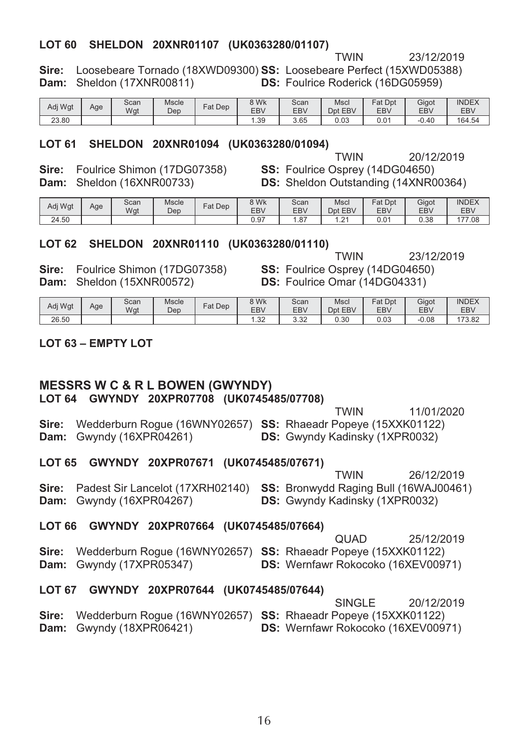#### LOT 60 SHELDON 20XNR01107 (UK0363280/01107)

23/12/2019

Sire: Loosebeare Tornado (18XWD09300) SS: Loosebeare Perfect (15XWD05388) Dam: Sheldon (17XNR00811) **DS:** Foulrice Roderick (16DG05959)

| Adj Wgt         | Age | Scan<br>Wgt | Mscle<br>Dep | $F$ at Dep | 3 Wk<br>EBV | Scan<br><b>EBV</b> | Mscl<br>Dpt EBV | <b>Fat Dpt</b><br>EBV | Gigot<br>EB\ | <b>INDEX</b><br>EBV |
|-----------------|-----|-------------|--------------|------------|-------------|--------------------|-----------------|-----------------------|--------------|---------------------|
| $\sim$<br>23.80 |     |             |              |            | 1.39        | 3.65               | 0.03            | 0.01                  | $-0.40$      | 164.54              |

#### LOT 61 SHELDON 20XNR01094 (UK0363280/01094)

Sire: Foulrice Shimon (17DG07358) Dam: Sheldon (16XNR00733)

**TWIN** 20/12/2019 SS: Foulrice Osprey (14DG04650) **DS:** Sheldon Outstanding (14XNR00364)

**TWIN** 

| Adi Wat | Age | Scan<br>Wgt | Mscle<br>Dep | $Fat$ Dep | 3 Wk<br>EBV | Scan<br><b>EBV</b> | Mscl<br>EBV<br>Dpt | Fat<br>Dpt<br>EBV | Gigot<br>EB\ | <b>INDEX</b><br>EBV |
|---------|-----|-------------|--------------|-----------|-------------|--------------------|--------------------|-------------------|--------------|---------------------|
| 24.50   |     |             |              |           | 0.97        | $\sim$<br>، 8، ا   | $\sim$<br>$-$      | 0.0 <sup>4</sup>  | 0.38         | 177.08              |

#### LOT 62 SHELDON 20XNR01110 (UK0363280/01110)

23/12/2019 **TWIN** 

Sire: Foulrice Shimon (17DG07358) Dam: Sheldon (15XNR00572)

SS: Foulrice Osprey (14DG04650) DS: Foulrice Omar (14DG04331)

| Adj Wgt | Age | Scan<br>Wgt | Mscle<br>Dep | Fat Dep | <b>9 Wk</b><br><b>EBV</b> | Scan<br><b>EBV</b> | Mscl<br>Dpt EBV | Fat<br>Dpt<br><b>EBV</b> | Gigot<br>EB <sub>V</sub> | <b>INDEX</b><br>EBV |
|---------|-----|-------------|--------------|---------|---------------------------|--------------------|-----------------|--------------------------|--------------------------|---------------------|
| 26.50   |     |             |              |         | $\Omega$<br>ے بی          | $\Omega$<br>ےں.ں   | 0.30            | 0.03                     | $-0.08$                  | 173.82              |

#### $1$  OT 63 - FMPTY LOT

## **MESSRS W C & R L BOWEN (GWYNDY)**

LOT 64 GWYNDY 20XPR07708 (UK0745485/07708)

11/01/2020 **TWIN** Sire: Wedderburn Rogue (16WNY02657) SS: Rhaeadr Popeye (15XXK01122) Dam: Gwyndy (16XPR04261) **DS:** Gwyndy Kadinsky (1XPR0032) LOT 65 GWYNDY 20XPR07671 (UK0745485/07671) **TWIN** 26/12/2019

Sire: Padest Sir Lancelot (17XRH02140) SS: Bronwydd Raging Bull (16WAJ00461) Dam: Gwyndy (16XPR04267) **DS: Gwyndy Kadinsky (1XPR0032)** 

#### LOT 66 GWYNDY 20XPR07664 (UK0745485/07664)

|                                                                     | <b>QUAD</b>                               | 25/12/2019 |
|---------------------------------------------------------------------|-------------------------------------------|------------|
| Sire: Wedderburn Rogue (16WNY02657) SS: Rhaeadr Popeye (15XXK01122) |                                           |            |
| <b>Dam:</b> Gwyndy $(17XPR05347)$                                   | <b>DS:</b> Wernfawr Rokocoko (16XEV00971) |            |

#### LOT 67 GWYNDY 20XPR07644 (UK0745485/07644)

|                                   | 20/12/2019<br>SINGI F                                               |
|-----------------------------------|---------------------------------------------------------------------|
|                                   | Sire: Wedderburn Roque (16WNY02657) SS: Rhaeadr Popeye (15XXK01122) |
| <b>Dam:</b> Gwyndy $(18XPR06421)$ | <b>DS:</b> Wernfawr Rokocoko (16XEV00971)                           |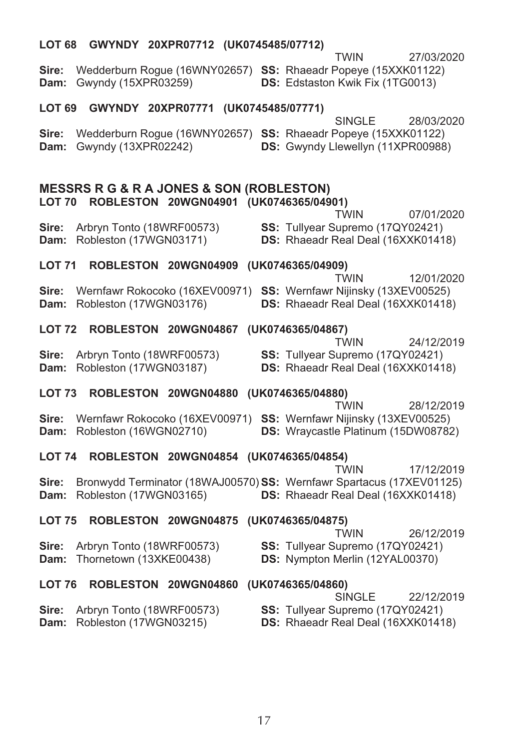| <b>LOT 68</b> | GWYNDY 20XPR07712 (UK0745485/07712)                     |  |  |                   |                                                                                                                           |            |
|---------------|---------------------------------------------------------|--|--|-------------------|---------------------------------------------------------------------------------------------------------------------------|------------|
| Sire:<br>Dam: | Gwyndy (15XPR03259)                                     |  |  |                   | TWIN<br>Wedderburn Rogue (16WNY02657) SS: Rhaeadr Popeye (15XXK01122)<br>DS: Edstaston Kwik Fix (1TG0013)                 | 27/03/2020 |
| LOT 69        | GWYNDY 20XPR07771 (UK0745485/07771)                     |  |  |                   |                                                                                                                           |            |
| Sire:<br>Dam: | Gwyndy (13XPR02242)                                     |  |  |                   | <b>SINGLE</b><br>Wedderburn Rogue (16WNY02657) SS: Rhaeadr Popeye (15XXK01122)<br>DS: Gwyndy Llewellyn (11XPR00988)       | 28/03/2020 |
|               | <b>MESSRS R G &amp; R A JONES &amp; SON (ROBLESTON)</b> |  |  |                   |                                                                                                                           |            |
|               | LOT 70 ROBLESTON 20WGN04901 (UK0746365/04901)           |  |  |                   | TWIN                                                                                                                      | 07/01/2020 |
| Sire:<br>Dam: | Arbryn Tonto (18WRF00573)<br>Robleston (17WGN03171)     |  |  |                   | SS: Tullyear Supremo (17QY02421)<br>DS: Rhaeadr Real Deal (16XXK01418)                                                    |            |
| LOT 71        | ROBLESTON 20WGN04909                                    |  |  | (UK0746365/04909) |                                                                                                                           |            |
|               |                                                         |  |  |                   | <b>TWIN</b>                                                                                                               | 12/01/2020 |
| Sire:<br>Dam: | Robleston (17WGN03176)                                  |  |  |                   | Wernfawr Rokocoko (16XEV00971) SS: Wernfawr Nijinsky (13XEV00525)<br>DS: Rhaeadr Real Deal (16XXK01418)                   |            |
| <b>LOT 72</b> | ROBLESTON 20WGN04867                                    |  |  | (UK0746365/04867) | <b>TWIN</b>                                                                                                               |            |
| Sire:<br>Dam: | Arbryn Tonto (18WRF00573)<br>Robleston (17WGN03187)     |  |  |                   | SS: Tullyear Supremo (17QY02421)<br>DS: Rhaeadr Real Deal (16XXK01418)                                                    | 24/12/2019 |
| <b>LOT 73</b> | ROBLESTON 20WGN04880                                    |  |  | (UK0746365/04880) |                                                                                                                           |            |
| Sire:<br>Dam: | Robleston (16WGN02710)                                  |  |  |                   | <b>TWIN</b><br>Wernfawr Rokocoko (16XEV00971) SS: Wernfawr Nijinsky (13XEV00525)<br>DS: Wraycastle Platinum (15DW08782)   | 28/12/2019 |
| <b>LOT 74</b> | ROBLESTON 20WGN04854 (UK0746365/04854)                  |  |  |                   |                                                                                                                           |            |
| Sire:<br>Dam: | Robleston (17WGN03165)                                  |  |  |                   | <b>TWIN</b><br>Bronwydd Terminator (18WAJ00570) SS: Wernfawr Spartacus (17XEV01125)<br>DS: Rhaeadr Real Deal (16XXK01418) | 17/12/2019 |
| <b>LOT 75</b> | ROBLESTON 20WGN04875 (UK0746365/04875)                  |  |  |                   |                                                                                                                           |            |
| Sire:<br>Dam: | Arbryn Tonto (18WRF00573)<br>Thornetown (13XKE00438)    |  |  |                   | <b>TWIN</b><br>SS: Tullyear Supremo (17QY02421)<br>DS: Nympton Merlin (12YAL00370)                                        | 26/12/2019 |
| <b>LOT 76</b> | ROBLESTON 20WGN04860 (UK0746365/04860)                  |  |  |                   |                                                                                                                           |            |
| Sire:<br>Dam: | Arbryn Tonto (18WRF00573)<br>Robleston (17WGN03215)     |  |  |                   | <b>SINGLE</b><br>SS: Tullyear Supremo (17QY02421)<br>DS: Rhaeadr Real Deal (16XXK01418)                                   | 22/12/2019 |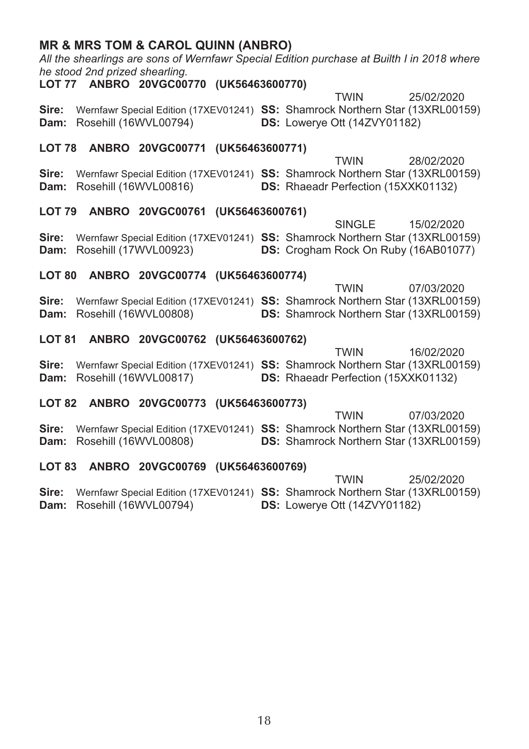|               | <b>MR &amp; MRS TOM &amp; CAROL QUINN (ANBRO)</b><br>All the shearlings are sons of Wernfawr Special Edition purchase at Builth I in 2018 where<br>he stood 2nd prized shearling.<br>LOT 77 ANBRO 20VGC00770 (UK56463600770) |                                                                                                        |  |  |                                            |             |  |                                                           |  |  |  |
|---------------|------------------------------------------------------------------------------------------------------------------------------------------------------------------------------------------------------------------------------|--------------------------------------------------------------------------------------------------------|--|--|--------------------------------------------|-------------|--|-----------------------------------------------------------|--|--|--|
|               |                                                                                                                                                                                                                              |                                                                                                        |  |  |                                            |             |  |                                                           |  |  |  |
| Sire:<br>Dam: |                                                                                                                                                                                                                              | Wernfawr Special Edition (17XEV01241) SS: Shamrock Northern Star (13XRL00159)<br>Rosehill (16WVL00794) |  |  | DS: Lowerye Ott (14ZVY01182)               | <b>TWIN</b> |  | 25/02/2020                                                |  |  |  |
|               |                                                                                                                                                                                                                              | LOT 78 ANBRO 20VGC00771 (UK56463600771)                                                                |  |  |                                            | <b>TWIN</b> |  |                                                           |  |  |  |
| Sire:<br>Dam: |                                                                                                                                                                                                                              | Wernfawr Special Edition (17XEV01241) SS: Shamrock Northern Star (13XRL00159)<br>Rosehill (16WVL00816) |  |  | <b>DS:</b> Rhaeadr Perfection (15XXK01132) |             |  | 28/02/2020                                                |  |  |  |
|               |                                                                                                                                                                                                                              | LOT 79 ANBRO 20VGC00761 (UK56463600761)                                                                |  |  |                                            |             |  |                                                           |  |  |  |
| Sire:<br>Dam: |                                                                                                                                                                                                                              | Wernfawr Special Edition (17XEV01241) SS: Shamrock Northern Star (13XRL00159)<br>Rosehill (17WVL00923) |  |  |                                            | SINGLE      |  | 15/02/2020<br><b>DS:</b> Crogham Rock On Ruby (16AB01077) |  |  |  |
|               |                                                                                                                                                                                                                              | LOT 80 ANBRO 20VGC00774 (UK56463600774)                                                                |  |  |                                            |             |  |                                                           |  |  |  |
| Sire:<br>Dam: |                                                                                                                                                                                                                              | Wernfawr Special Edition (17XEV01241) SS: Shamrock Northern Star (13XRL00159)<br>Rosehill (16WVL00808) |  |  |                                            | <b>TWIN</b> |  | 07/03/2020<br>DS: Shamrock Northern Star (13XRL00159)     |  |  |  |
|               |                                                                                                                                                                                                                              | LOT 81 ANBRO 20VGC00762 (UK56463600762)                                                                |  |  |                                            |             |  |                                                           |  |  |  |
|               |                                                                                                                                                                                                                              |                                                                                                        |  |  |                                            | <b>TWIN</b> |  | 16/02/2020                                                |  |  |  |
| Sire:<br>Dam: |                                                                                                                                                                                                                              | Wernfawr Special Edition (17XEV01241) SS: Shamrock Northern Star (13XRL00159)<br>Rosehill (16WVL00817) |  |  | DS: Rhaeadr Perfection (15XXK01132)        |             |  |                                                           |  |  |  |
| <b>LOT 82</b> |                                                                                                                                                                                                                              | ANBRO 20VGC00773 (UK56463600773)                                                                       |  |  |                                            |             |  |                                                           |  |  |  |
| Sire:<br>Dam: |                                                                                                                                                                                                                              | Wernfawr Special Edition (17XEV01241) SS: Shamrock Northern Star (13XRL00159)<br>Rosehill (16WVL00808) |  |  |                                            | <b>TWIN</b> |  | 07/03/2020<br>DS: Shamrock Northern Star (13XRL00159)     |  |  |  |
|               |                                                                                                                                                                                                                              | LOT 83 ANBRO 20VGC00769 (UK56463600769)                                                                |  |  |                                            |             |  |                                                           |  |  |  |

**TWIN** 25/02/2020 Sire: Wernfawr Special Edition (17XEV01241) SS: Shamrock Northern Star (13XRL00159) Dam: Rosehill (16WVL00794) DS: Lowerye Ott (14ZVY01182)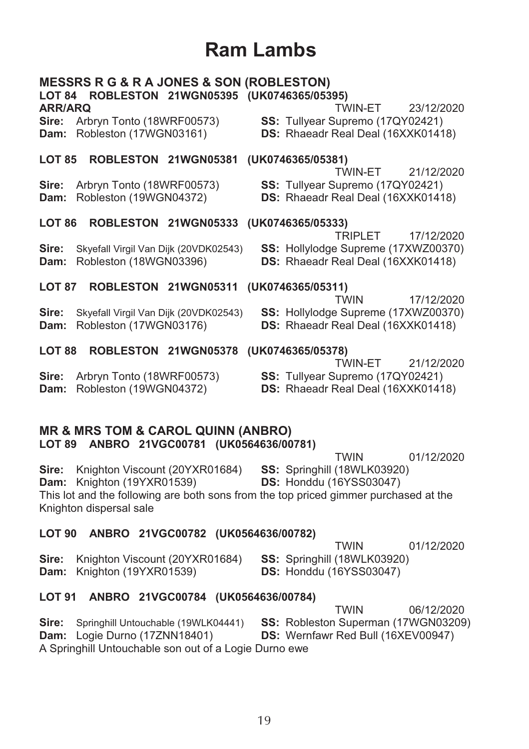## Ram Lambs

| <b>ARR/ARQ</b> | <b>MESSRS R G &amp; R A JONES &amp; SON (ROBLESTON)</b><br>LOT 84 ROBLESTON 21WGN05395 (UK0746365/05395) |                                        | TWIN-FT                                                                                  | 23/12/2020 |
|----------------|----------------------------------------------------------------------------------------------------------|----------------------------------------|------------------------------------------------------------------------------------------|------------|
|                | Sire: Arbryn Tonto (18WRF00573)<br>Dam: Robleston (17WGN03161)                                           |                                        | SS: Tullyear Supremo (17QY02421)<br>DS: Rhaeadr Real Deal (16XXK01418)                   |            |
| <b>LOT 85</b>  | ROBLESTON 21WGN05381                                                                                     |                                        | (UK0746365/05381)<br>TWIN-ET 21/12/2020                                                  |            |
| Sire:<br>Dam:  | Arbryn Tonto (18WRF00573)<br>Robleston (19WGN04372)                                                      |                                        | SS: Tullyear Supremo (17QY02421)<br>DS: Rhaeadr Real Deal (16XXK01418)                   |            |
| <b>LOT 86</b>  |                                                                                                          | ROBLESTON 21WGN05333 (UK0746365/05333) | TRIPI FT                                                                                 | 17/12/2020 |
| Sire:<br>Dam:  | Skyefall Virgil Van Dijk (20VDK02543)<br>Robleston (18WGN03396)                                          |                                        | SS: Hollylodge Supreme (17XWZ00370)<br>DS: Rhaeadr Real Deal (16XXK01418)                |            |
| <b>LOT 87</b>  | ROBLESTON 21WGN05311                                                                                     |                                        | (UK0746365/05311)<br><b>TWIN</b>                                                         | 17/12/2020 |
| Sire:<br>Dam:  | Skyefall Virgil Van Dijk (20VDK02543)<br>Robleston (17WGN03176)                                          |                                        | SS: Hollylodge Supreme (17XWZ00370)<br><b>DS:</b> Rhaeadr Real Deal (16XXK01418)         |            |
| <b>LOT 88</b>  |                                                                                                          | ROBLESTON 21WGN05378 (UK0746365/05378) |                                                                                          |            |
| Sire:<br>Dam:  | Arbryn Tonto (18WRF00573)<br>Robleston (19WGN04372)                                                      |                                        | TWIN-FT<br>SS: Tullyear Supremo (17QY02421)<br><b>DS:</b> Rhaeadr Real Deal (16XXK01418) | 21/12/2020 |
|                | MD & MDC TOM & CADOL OLIINNI (ANDDO)                                                                     |                                        |                                                                                          |            |

#### **MR & MRS TOM & CAROL QUINN (ANBRU)** LOT 89 ANRRO 21VGC00781 (UK0564636/00781)

| $\frac{1}{2}$                                                                        |                                    |            |
|--------------------------------------------------------------------------------------|------------------------------------|------------|
|                                                                                      | <b>TWIN</b>                        | 01/12/2020 |
| <b>Sire:</b> Knighton Viscount (20YXR01684)                                          | <b>SS: Springhill (18WLK03920)</b> |            |
| <b>Dam:</b> Knighton (19YXR01539)                                                    | <b>DS: Honddu (16YSS03047)</b>     |            |
| This lot and the following are both sons from the top priced gimmer purchased at the |                                    |            |
| Knighton dispersal sale                                                              |                                    |            |
|                                                                                      |                                    |            |

#### LOT 90 ANBRO 21VGC00782 (UK0564636/00782)

**TWIN** 01/12/2020 Sire: Knighton Viscount (20YXR01684) SS: Springhill (18WLK03920) Dam: Knighton (19YXR01539) **DS: Honddu (16YSS03047)** 

#### LOT 91 ANBRO 21VGC00784 (UK0564636/00784)

**TWIN** 06/12/2020 Sire: Springhill Untouchable (19WLK04441) SS: Robleston Superman (17WGN03209) Dam: Logie Durno (17ZNN18401) DS: Wernfawr Red Bull (16XEV00947) A Springhill Untouchable son out of a Logie Durno ewe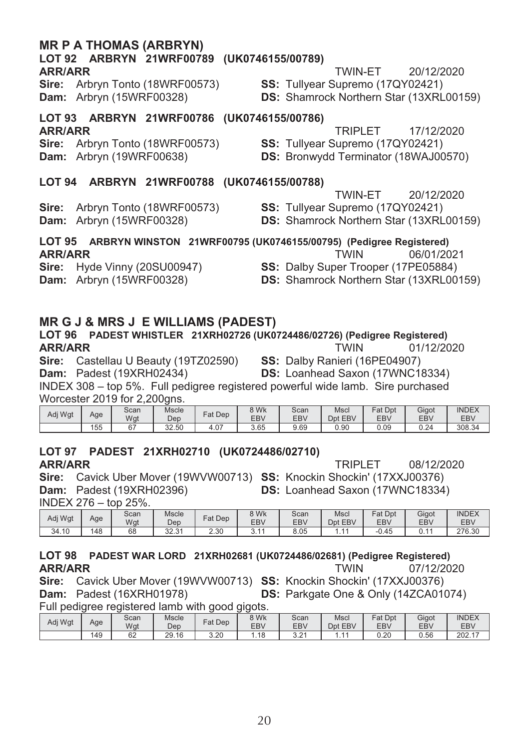#### **MR P A THOMAS (ARBRYN)**

## LOT 92 ARBRYN 21WRF00789 (UK0746155/00789)

#### **ARR/ARR**

Sire: Arbryn Tonto (18WRF00573) Dam: Arbryn (15WRF00328)

- **TWIN-ET** 20/12/2020
- SS: Tullyear Supremo (17QY02421) **DS:** Shamrock Northern Star (13XRL00159)

#### LOT 93 ARBRYN 21WRF00786 (UK0746155/00786) **ARR/ARR**

TRIPI FT 17/12/2020

Sire: Arbryn Tonto (18WRF00573) Dam: Arbryn (19WRF00638)

SS: Tullyear Supremo (17QY02421)

**DS:** Bronwydd Terminator (18WAJ00570)

#### LOT 94 ARBRYN 21WRF00788 (UK0746155/00788)

20/12/2020 TWIN-ET

Sire: Arbryn Tonto (18WRF00573) Dam: Arbryn (15WRF00328)

SS: Tullyear Supremo (17QY02421)

**DS:** Shamrock Northern Star (13XRL00159)

LOT 95 ARBRYN WINSTON 21WRF00795 (UK0746155/00795) (Pedigree Registered) **ARR/ARR TWIN** 

Sire: Hyde Vinny (20SU00947) Dam: Arbryn (15WRF00328)

06/01/2021

SS: Dalby Super Trooper (17PE05884)

**DS:** Shamrock Northern Star (13XRL00159)

#### **MR G J & MRS J E WILLIAMS (PADEST)**

#### LOT 96 PADEST WHISTLER 21XRH02726 (UK0724486/02726) (Pedigree Registered) **ARR/ARR TWIN** 01/12/2020 Sire: Castellau U Beauty (19TZ02590) SS: Dalby Ranieri (16PE04907)

Dam: Padest (19XRH02434)

**DS: Loanhead Saxon (17WNC18334)** 

INDEX 308 - top 5%. Full pedigree registered powerful wide lamb. Sire purchased Worcester 2019 for 2.200gns.

| Adi Wat | Age | Scan<br>Wgt  | Mscle<br>Dep | Dep<br>$at$ .    | 8 Wk<br>EB\ | Scan<br><b>EBV</b> | Mscl<br><b>EBV</b><br>Dpt | Fat<br>Dpt<br><b>EBV</b> | Gigot<br><b>EBV</b> | <b>INDEX</b><br><b>EBV</b> |
|---------|-----|--------------|--------------|------------------|-------------|--------------------|---------------------------|--------------------------|---------------------|----------------------------|
|         | 155 | $\sim$<br>υ. | 32.50        | $^{\sim}$<br>4.U | 3.65        | 9.69               | 0.90                      | 0.09                     | 0.24                | 308.34                     |

## LOT 97 PADEST 21XRH02710 (UK0724486/02710)

**ARR/ARR** 

**TRIPLET** 08/12/2020

Sire: Cavick Uber Mover (19WVW00713) SS: Knockin Shockin' (17XXJ00376) **Dam:** Padest (19XRH02396) DS: Loanhead Saxon (17WNC18334) INDEX 276 - top 25%.

| .       |     | $\sim$ $\sim$ $\sim$ $\sim$ $\sim$ $\sim$ |               |         |            |            |                   |         |                |              |
|---------|-----|-------------------------------------------|---------------|---------|------------|------------|-------------------|---------|----------------|--------------|
| Adj Wgt | Age | Scan                                      | Mscle         | Fat Dep | ९ Wk       | Scan       | Mscl              | Fat Dpt | Gigot          | <b>INDEX</b> |
|         |     | Wgt                                       | Dep           |         | <b>EBV</b> | <b>EBV</b> | <b>EBV</b><br>Dnt | EBV     | EB\            | <b>EBV</b>   |
| 34.10   | 148 | 68                                        | 22.24<br>ں ےں | 2.30    | ີ          | 8.05       |                   | $-0.45$ | $\overline{A}$ | 276.30       |

#### LOT 98 PADEST WAR LORD 21XRH02681 (UK0724486/02681) (Pedigree Registered) **ARR/ARR TWIN** 07/12/2020 Sire: Cavick Uber Mover (19WVW00713) SS: Knockin Shockin' (17XXJ00376)

Dam: Padest (16XRH01978) DS: Parkgate One & Only (14ZCA01074) Full pediaree registered lamb with good gigots.

| Adi Wat | Age | Scan<br>Wgt | Mscle<br>Dep | Fat Dep | 8 Wk<br><b>EBV</b> | Scan<br>EBV   | Mscl<br>Dpt<br><b>EBV</b> | Fat<br>Dpt<br><b>EBV</b> | Gigot<br><b>EBV</b> | <b>INDEX</b><br><b>EBV</b> |
|---------|-----|-------------|--------------|---------|--------------------|---------------|---------------------------|--------------------------|---------------------|----------------------------|
|         | 149 | 62          | 29.16        | ۔ 20    | .18                | $\sim$<br>ے.ت | .                         | 0.20                     | 0.56                | 202.17<br>$\overline{A}$   |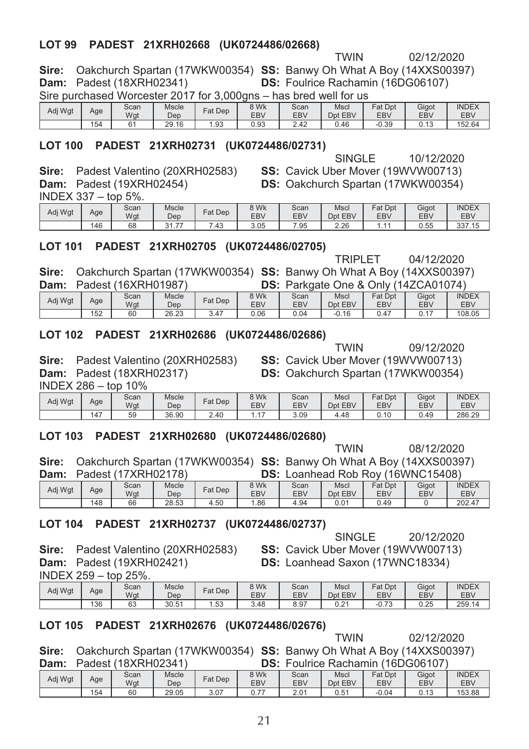#### LOT 99 PADEST 21XRH02668 (UK0724486/02668)

02/12/2020

Sire: Oakchurch Spartan (17WKW00354) SS: Banwy Oh What A Boy (14XXS00397) **Dam:** Padest (18XRH02341) DS: Foulrice Rachamin (16DG06107)

Sire purchased Worcester 2017 for 3,000gns - has bred well for us Mscl Eat Dnt | Gigot | INDEX |

| Adi Wat | Age | <b>UUCIII</b><br>Wgt | <b>INIONIA</b><br>Dep | Fat Dep           | <b>VVIV</b><br>EBV | ovan<br>EBV | 1713 U<br>Dpt EBV | $au$ $u$<br>EBV | Uiyut<br><b>EBV</b>      | 11 Y D L A<br>EBV |
|---------|-----|----------------------|-----------------------|-------------------|--------------------|-------------|-------------------|-----------------|--------------------------|-------------------|
|         | 154 | 6                    | 29.16                 | $^{\Omega}$<br>అం | $\sim$<br>U.Y3     | 42<br>. .   | 0.46              | $-0.39$         | $\overline{a}$<br>U. I J | 52.64             |

#### LOT 100 PADEST 21XRH02731 (UK0724486/02731)

**SINGLE** 10/12/2020

**TWIN** 

SS: Cavick Uber Mover (19WVW00713)

**DS:** Oakchurch Spartan (17WKW00354)

Sire: Padest Valentino (20XRH02583) Dam: Padest (19XRH02454)

 $INDFX 337 -$ ton 5%

| .       |     | ------      |                                  |                   |                    |                    |                 |                |              |                     |
|---------|-----|-------------|----------------------------------|-------------------|--------------------|--------------------|-----------------|----------------|--------------|---------------------|
| Adj Wgt | Age | Scan<br>Wat | Mscle<br>Dep                     | Fat Dep           | 8 Wk<br><b>EBV</b> | Scan<br><b>EBV</b> | Msci<br>Dpt EBV | Fat Dpt<br>EBV | Gigot<br>EB\ | <b>INDEX</b><br>EBV |
|         | 146 | 68          | $\sim$<br>$\overline{ }$<br>،،،، | $\sqrt{2}$<br>.43 | 3.05               | .95                | ን ኃፎ<br>Z.ZU    | . .            | 0.55         | 337.15              |

#### LOT 101 PADEST 21XRH02705 (UK0724486/02705)

**TRIPLET** 04/12/2020

Sire: Oakchurch Spartan (17WKW00354) SS: Banwy Oh What A Boy (14XXS00397) **Dam:** Padest (16XRH01987) DS: Parkgate One & Only (14ZCA01074)

| Adj Wgt | Age | Scan<br>Wgt | Mscle<br>Dep   | Fat Dep | 8 Wk<br><b>EBV</b> | Scan<br><b>EBV</b> | Mscl<br>Dpt EBV | Fat Dpt<br>EBV                   | Gigot<br>EB\ | <b>INDEX</b><br>EB\ |
|---------|-----|-------------|----------------|---------|--------------------|--------------------|-----------------|----------------------------------|--------------|---------------------|
|         | 152 | 60          | 26.23<br>20.ZJ | 3.47    | 0.06               | 0.04               | $-0.16$         | $\overline{\phantom{a}}$<br>0.4. | U.I          | 108.05              |

#### LOT 102 PADEST 21XRH02686 (UK0724486/02686)

Sire: Padest Valentino (20XRH02583) **Dam:** Padest (18XRH02317)

SS: Cavick Uber Mover (19WVW00713) **DS: Oakchurch Spartan (17WKW00354)** 

**TWIN** 

INDEX 286 - top 10%

| Adi Wat | Age                   | Scan<br>Wgt | Mscle<br>Dep | Fat Dep | 3 Wk<br><b>EBV</b> | Scan<br><b>EBV</b> | Mscl<br>Dpt EBV | <sup>⊂</sup> at Dpt<br>EBV | Gigot<br>EB\ | <b>INDEX</b><br><b>EBV</b> |
|---------|-----------------------|-------------|--------------|---------|--------------------|--------------------|-----------------|----------------------------|--------------|----------------------------|
|         | $\overline{A}$<br>14. | 59          | 36.90        | 2.40    |                    | 3.09               | 4.48            | 0.10                       | 0.49         | 286.29                     |

#### LOT 103 PADEST 21XRH02680 (UK0724486/02680)

Oakchurch Spartan (17WKW00354) SS: Banwy Oh What A Boy (14XXS00397) Sire: Dam: Padeet (17YRH02178) DS: Loanhead Rob Roy (16WNC15408)

| -----   |     |             |                     | -------------------<br>. |                    |                    |                 |                       |              |                            |  |
|---------|-----|-------------|---------------------|--------------------------|--------------------|--------------------|-----------------|-----------------------|--------------|----------------------------|--|
| Adj Wgt | Age | Scan<br>Wgt | <b>Mscle</b><br>Dep | Fat Dep                  | 8 Wk<br><b>EBV</b> | Scan<br><b>EBV</b> | Mscl<br>Dpt EBV | <b>Fat Dpt</b><br>EBV | Gigot<br>EB\ | <b>INDEX</b><br><b>EBV</b> |  |
|         | 148 | 66          | 28.53               | 4.50                     | .86                | 4.94               | 0.01            | 0.49                  |              | 202.47                     |  |

#### LOT 104 PADEST 21XRH02737 (UK0724486/02737)

Sire: Padest Valentino (20XRH02583) **Dam:** Padest (19XRH02421)

SINGLE 20/12/2020 SS: Cavick Uber Mover (19WVW00713) DS: Loanhead Saxon (17WNC18334)

| Adj Wgt | Age | Scan<br>Wgt | <b>Mscle</b><br>Dep | Fat Dep   | 8 Wk<br>EB\ | Scan<br><b>EBV</b> | Mscl<br>Dpt EBV | Fat Dpt<br>EBV                     | Gigot<br>EB <sub>V</sub> | <b>INDEX</b><br><b>EBV</b> |
|---------|-----|-------------|---------------------|-----------|-------------|--------------------|-----------------|------------------------------------|--------------------------|----------------------------|
|         | 136 | 63          | 30.51               | 53<br>.טט | 3.48        | 8.97               | 0.24<br>∪.∠     | $\overline{\phantom{a}}$<br>ن /.∪- | 0.25                     | 259.14                     |

#### LOT 105 PADEST 21XRH02676 (UK0724486/02676)

**TWIN** 02/12/2020 Sire: Oakchurch Spartan (17WKW00354) SS: Banwy Oh What A Boy (14XXS00397) **Dam:** Padest (18XRH02341) DS: Foulrice Rachamin (16DG06107)

| ------  | ----- |             | -----------  |         | ---                             | ------------ | .                  | ---                  | ---------    |                            |
|---------|-------|-------------|--------------|---------|---------------------------------|--------------|--------------------|----------------------|--------------|----------------------------|
| Adj Wgt | Age   | Scan<br>Wgt | Mscle<br>Dep | Fat Dep | 8 Wk<br><b>EBV</b>              | Scan<br>EBV  | Mscl<br>EBV<br>Dpt | $=$ at<br>Dpt<br>EBV | Gigot<br>EBV | <b>INDEX</b><br><b>EBV</b> |
|         | 154   | 60          | 29.05        | 3.07    | $\overline{\phantom{a}}$<br>◡.≀ | 2.01         | 0.51               | $-0.04$              | 0.13         | 153.88                     |

08/12/2020

**TWIN** 09/12/2020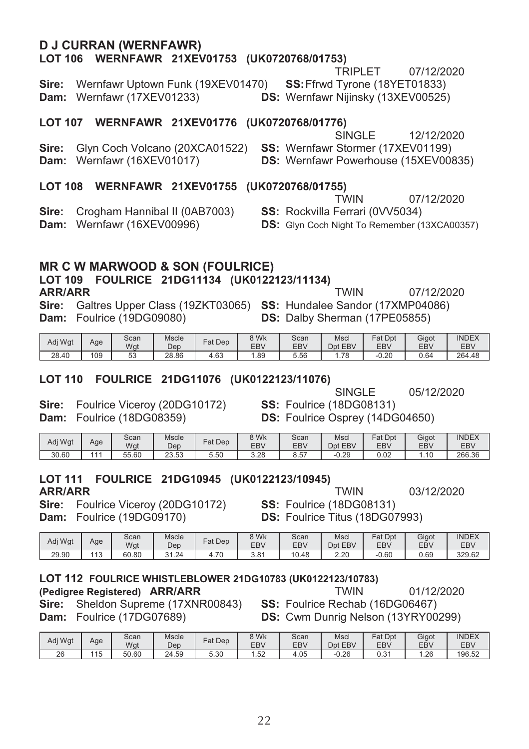## **D J CURRAN (WERNFAWR)**

#### LOT 106 WERNFAWR 21XEV01753 (UK0720768/01753)

#### TRIPLET 07/12/2020

Wernfawr Uptown Funk (19XEV01470) SS: Ffrwd Tvrone (18YET01833) Sire: Dam: Wernfawr (17XEV01233) DS: Wernfawr Nijinsky (13XEV00525)

#### LOT 107 WERNFAWR 21XEV01776 (UK0720768/01776)

SINGLE 12/12/2020 Sire: Glyn Coch Volcano (20XCA01522) SS: Wernfawr Stormer (17XEV01199) DS: Wernfawr Powerhouse (15XEV00835) Dam: Wernfawr (16XEV01017)

#### LOT 108 WERNFAWR 21XEV01755 (UK0720768/01755)

|                                            | <b>TWIN</b>                                         | 07/12/2020 |
|--------------------------------------------|-----------------------------------------------------|------------|
| <b>Sire:</b> Crogham Hannibal II (0AB7003) | <b>SS:</b> Rockvilla Ferrari (0VV5034)              |            |
| Dam: Wernfawr (16XEV00996)                 | <b>DS:</b> Glyn Coch Night To Remember (13XCA00357) |            |

#### **MR C W MARWOOD & SON (FOULRICE)**

#### LOT 109 FOULRICE 21DG11134 (UK0122123/11134) **ARR/ARR**

Sire: Galtres Upper Class (19ZKT03065) SS: Hundalee Sandor (17XMP04086) Dam: Foulrice (19DG09080) DS: Dalby Sherman (17PE05855)

| Adj Wgt | Age | Scan<br>Wgt | Mscle<br>Dep | Fat Dep | 8 Wk<br>EB\ | Scan<br>EBV | <b>Msc</b><br>Dpt EBV | Fat<br>Dpt<br>EBV | Gigot<br><b>EBV</b> | <b>INDEX</b><br><b>EBV</b> |
|---------|-----|-------------|--------------|---------|-------------|-------------|-----------------------|-------------------|---------------------|----------------------------|
| 28.40   | 109 | 52<br>JJ    | 28.86        | 4.63    | . 89        | 5.56        | 1.78                  | 0.20              | 0.64                | 264.48                     |

#### LOT 110 FOULRICE 21DG11076 (UK0122123/11076)

SINGLE

Sire: Foulrice Viceroy (20DG10172) Dam: Foulrice (18DG08359)

**SS: Foulrice (18DG08131) DS:** Foulrice Osprey (14DG04650)

**TWIN** 

| Adj Wgt | Age | Scan<br>Wgt | Mscle<br>Dep     | Fat Dep | 8 Wk<br>EB\ | Scan<br>EBV | Mscl<br>Dpt EBV | Fat Dpt<br><b>EBV</b> | Gigot<br>EB\ | <b>INDEX</b><br>EBV |
|---------|-----|-------------|------------------|---------|-------------|-------------|-----------------|-----------------------|--------------|---------------------|
| 30.60   | 444 | 55.60       | ົ<br>52<br>20.00 | 5.50    | 3.28        | 57<br>o.o.  | $-0.29$         | 0.02                  | 10           | 266.36              |

## LOT 111 FOULRICE 21DG10945 (UK0122123/10945)

**ARR/ARR** 

Sire: Foulrice Viceroy (20DG10172) Dam: Foulrice (19DG09170)

03/12/2020 **TWIN SS: Foulrice (18DG08131)** 

**DS:** Foulrice Titus (18DG07993)

| Adi Wat | Age        | Scan<br>Wgt | Mscle<br>Dep | Fat Dep | <b>BWK</b><br><b>EBV</b> | Scan<br>EBV | Mscl<br>EBV<br>Dnt | $F$ at Dpt<br>EB\ | Gigot<br>EB\ | <b>INDEX</b><br><b>EBV</b> |
|---------|------------|-------------|--------------|---------|--------------------------|-------------|--------------------|-------------------|--------------|----------------------------|
| 29.90   | 112<br>ن ا | 60.80       | 1.24ه        | 4.70    | 3.81                     | 10<br>0.48  | 2.20               | $-0.60$           | 0.69         | 329.62                     |

#### LOT 112 FOULRICE WHISTLEBLOWER 21DG10783 (UK0122123/10783) (Pedigree Registered) ARR/ARR **TWIN**

Sire: Sheldon Supreme (17XNR00843) Dam: Foulrice (17DG07689)

01/12/2020 SS: Foulrice Rechab (16DG06467)

**DS:** Cwm Dunrig Nelson (13YRY00299)

| Adj Wgt | Age        | Scan<br>Wgt | Mscle<br>Dep | $at$ Dep | 8 Wk<br>EB\            | Scan<br>EBV | Mscl<br>EBV<br>Dpt | Fat<br>Dpt<br>EBV | Gigot<br>EB <sub>V</sub> | <b>INDEX</b><br><b>EBV</b> |
|---------|------------|-------------|--------------|----------|------------------------|-------------|--------------------|-------------------|--------------------------|----------------------------|
| 26      | 115<br>⊣ ບ | 50.60       | 24.59        | 5.30     | Б <sup>0</sup><br>ے بی | 4.05        | $-0.26$            | ∩ ?∙<br>U.J I     | .26                      | 196.52                     |

05/12/2020

07/12/2020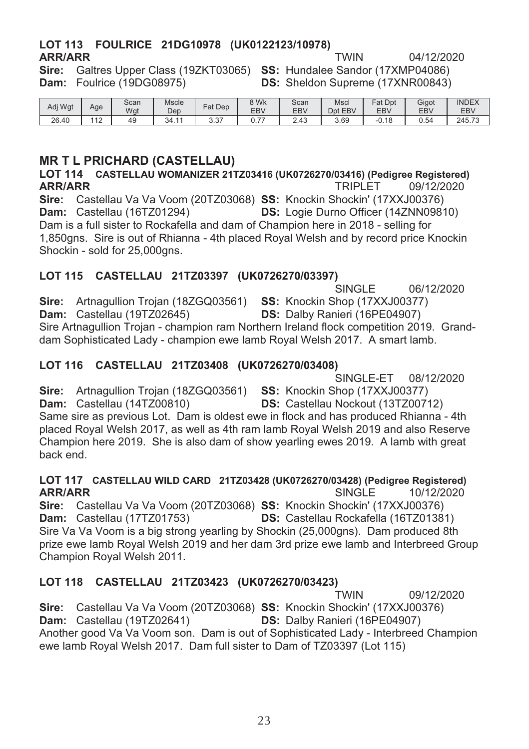#### LOT 113 FOULRICE 21DG10978 (UK0122123/10978) **ARR/ARR TWIN**

04/12/2020

Sire: Galtres Upper Class (19ZKT03065) SS: Hundalee Sandor (17XMP04086) Dam: Foulrice (19DG08975)

**DS:** Sheldon Supreme (17XNR00843)

| Adj Wgt | Age       | Scan<br>Wgt | Mscle<br>Dep | Dep<br>Fat    | 8 Wk<br><b>EBV</b>              | Scan<br><b>EBV</b> | Mscl<br>EBV<br>Dpt | <b>Fat Dpt</b><br>EBV | Gigot<br>EB\ | <b>INDEX</b><br>EB\ |
|---------|-----------|-------------|--------------|---------------|---------------------------------|--------------------|--------------------|-----------------------|--------------|---------------------|
| 26.40   | 110<br>╶╹ | 49          | 34.11        | $\sim$<br>، ت | $\overline{\phantom{a}}$<br>◡.≀ | 2.43               | 3.69               | $-0.18$               | 0.54         | 245.73              |

#### **MR T L PRICHARD (CASTELLAU)**

LOT 114 CASTELLAU WOMANIZER 21TZ03416 (UK0726270/03416) (Pedigree Registered) **ARR/ARR** 09/12/2020 **TRIPLET** Sire: Castellau Va Va Voom (20TZ03068) SS: Knockin Shockin' (17XXJ00376)

Dam: Castellau (16TZ01294) DS: Logie Durno Officer (14ZNN09810) Dam is a full sister to Rockafella and dam of Champion here in 2018 - selling for 1,850gns. Sire is out of Rhianna - 4th placed Royal Welsh and by record price Knockin Shockin - sold for 25,000gns.

#### LOT 115 CASTELLAU 21TZ03397 (UK0726270/03397)

**SINGLE** 06/12/2020 Sire: Artnagullion Troian (18ZGQ03561) SS: Knockin Shop (17XXJ00377) Dam: Castellau (19TZ02645) DS: Dalby Ranieri (16PE04907) Sire Artnagullion Trojan - champion ram Northern Ireland flock competition 2019. Granddam Sophisticated Lady - champion ewe lamb Royal Welsh 2017. A smart lamb.

#### LOT 116 CASTELLAU 21TZ03408 (UK0726270/03408)

SINGI F-FT 08/12/2020

Sire: Artnagullion Trojan (18ZGQ03561) SS: Knockin Shop (17XXJ00377) Dam: Castellau (14TZ00810) DS: Castellau Nockout (13TZ00712)

Same sire as previous Lot. Dam is oldest ewe in flock and has produced Rhianna - 4th placed Royal Welsh 2017, as well as 4th ram lamb Royal Welsh 2019 and also Reserve Champion here 2019. She is also dam of show yearling ewes 2019. A lamb with great hack end

#### LOT 117 CASTELLAU WILD CARD 21TZ03428 (UK0726270/03428) (Pedigree Registered) **ARR/ARR SINGLE** 10/12/2020

Sire: Castellau Va Va Voom (20TZ03068) SS: Knockin Shockin' (17XXJ00376) Dam: Castellau (17TZ01753) DS: Castellau Rockafella (16TZ01381) Sire Va Va Voom is a big strong yearling by Shockin (25,000gns). Dam produced 8th prize ewe lamb Royal Welsh 2019 and her dam 3rd prize ewe lamb and Interbreed Group Champion Royal Welsh 2011.

#### LOT 118 CASTELLAU 21TZ03423 (UK0726270/03423)

09/12/2020 **TWIN** Sire: Castellau Va Va Voom (20TZ03068) SS: Knockin Shockin' (17XXJ00376) Dam: Castellau (19TZ02641) DS: Dalby Ranieri (16PE04907) Another good Va Va Voom son. Dam is out of Sophisticated Lady - Interbreed Champion ewe lamb Royal Welsh 2017. Dam full sister to Dam of TZ03397 (Lot 115)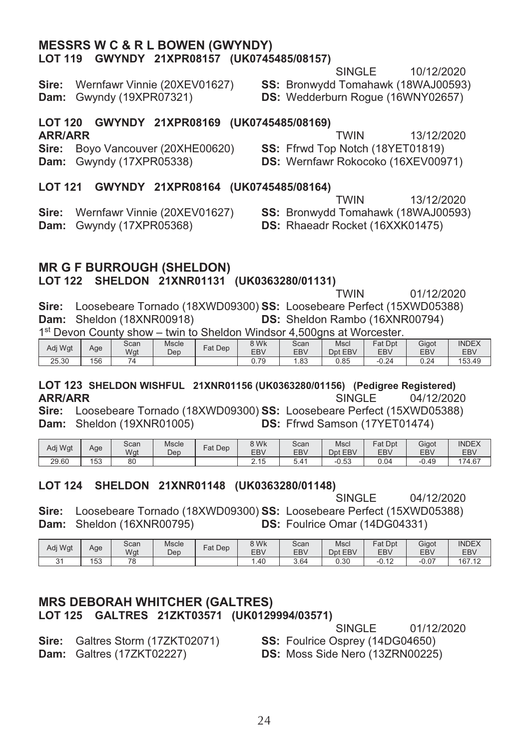#### **MESSRS W C & R L BOWEN (GWYNDY)** LOT 119 GWYNDY 21XPR08157 (UK0745485/08157)

**SINGLE** 10/12/2020

Sire: Wernfawr Vinnie (20XEV01627) Dam: Gwyndy (19XPR07321)

SS: Bronwydd Tomahawk (18WAJ00593)

DS: Wedderburn Roque (16WNY02657)

#### LOT 120 GWYNDY 21XPR08169 (UK0745485/08169)

#### **ARR/ARR**

**TWIN** 13/12/2020 Sire: Bovo Vancouver (20XHE00620) SS: Ffrwd Top Notch (18YET01819) **Dam:** Gwyndy (17XPR05338) DS: Wernfawr Rokocoko (16XEV00971)

#### LOT 121 GWYNDY 21XPR08164 (UK0745485/08164)

**TWIN** 13/12/2020

Sire: Wernfawr Vinnie (20XEV01627) **Dam:** Gwyndy (17XPR05368)

SS: Bronwydd Tomahawk (18WAJ00593) DS: Rhaeadr Rocket (16XXK01475)

#### **MR G F BURROUGH (SHELDON)** LOT 122 SHELDON 21XNR01131 (UK0363280/01131)

**TWIN** 01/12/2020

Sire: Loosebeare Tornado (18XWD09300) SS: Loosebeare Perfect (15XWD05388) Dam: Sheldon (18XNR00918) **DS:** Sheldon Rambo (16XNR00794) 1st Devon County show - twin to Sheldon Windsor 4,500gns at Worcester.

| Adj Wgt | Age | Scan<br>Wgt | Mscle<br>Dep | Fat Dep | 8 Wk<br>EBV | Scan<br>EBV | Msci<br>Dpt EBV | Fat<br>Dpt<br><b>EBV</b> | Gigot<br><b>EBV</b> | <b>INDEX</b><br><b>EBV</b> |
|---------|-----|-------------|--------------|---------|-------------|-------------|-----------------|--------------------------|---------------------|----------------------------|
| 25.30   | 156 |             |              |         | 70<br>υ. ι  | .83،        | 0.85            | $-0.24$                  | 0.24                | 153.49                     |

#### LOT 123 SHELDON WISHFUL 21XNR01156 (UK0363280/01156) (Pedigree Registered) 04/12/2020 **ARR/ARR** SINGLE.

Sire: Loosebeare Tornado (18XWD09300) SS: Loosebeare Perfect (15XWD05388) Dam: Sheldon (19XNR01005) DS: Ffrwd Samson (17YET01474)

| Adj Wgt | Age | Scan<br>Wgt | Mscle<br>Dep | Dep<br>$=$ at | 8 Wk<br>EB\    | Scan<br><b>EBV</b> | Mscl<br>Dpt EBV | Fat<br>Dpt<br>EBV | Gigot<br>EBV | <b>INDEX</b><br>EBV |
|---------|-----|-------------|--------------|---------------|----------------|--------------------|-----------------|-------------------|--------------|---------------------|
| 29.60   | 153 | 80          |              |               | 0.4E<br>د. ا ب | 5.4                | $-0.53$         | 0.04              | $-0.49$      | 174.67              |

#### LOT 124 SHELDON 21XNR01148 (UK0363280/01148)

**SINGLF** 04/12/2020

Sire: Loosebeare Tornado (18XWD09300) SS: Loosebeare Perfect (15XWD05388) Dam: Sheldon (16XNR00795) **DS:** Foulrice Omar (14DG04331)

| Adj Wgt     | Age | Scan<br>Wat | <b>Mscle</b><br>Dep | Fat Dep | 8 Wk<br>EBV | Scan<br>EBV | Mscl<br>EBV<br><b>D</b> nt | Fat Dpt<br>EB <sub>V</sub> | Gigot<br>EB\ | <b>INDEX</b><br>EBV |
|-------------|-----|-------------|---------------------|---------|-------------|-------------|----------------------------|----------------------------|--------------|---------------------|
| $\sim$<br>ູ | 153 | 70<br>u     |                     |         | . 40        | 3.64        | 0.30                       | $\sqrt{2}$<br>$-U. IL$     | $-0.07$      | 167.12              |

#### **MRS DEBORAH WHITCHER (GALTRES)** LOT 125 GALTRES 21ZKT03571 (UK0129994/03571)

01/12/2020

Sire: Galtres Storm (17ZKT02071) Dam: Galtres (17ZKT02227)

**SINGLF** SS: Foulrice Osprey (14DG04650) **DS:** Moss Side Nero (13ZRN00225)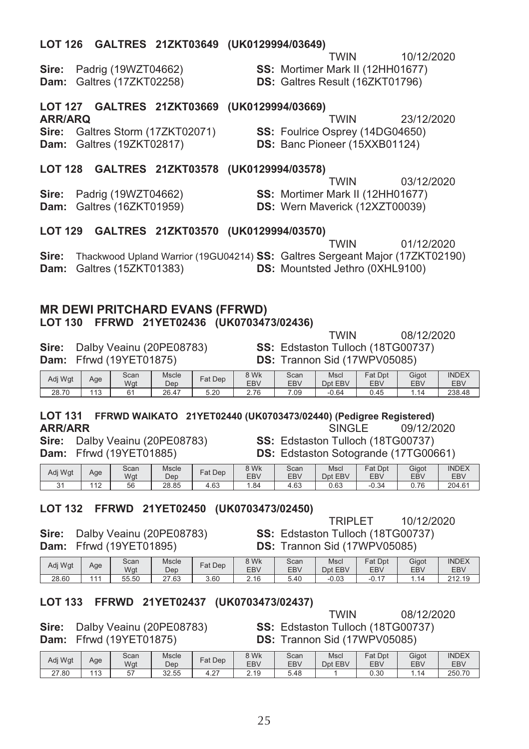| LUI 120                                           | GALIKES ZIZKIU3649 (UKU1Z9994/U3649)                                                                               |                          |         |                    |                              | <b>TWIN</b>                                                                       |                | 10/12/2020                                                |                     |
|---------------------------------------------------|--------------------------------------------------------------------------------------------------------------------|--------------------------|---------|--------------------|------------------------------|-----------------------------------------------------------------------------------|----------------|-----------------------------------------------------------|---------------------|
| Sire:<br>Dam:                                     | Padrig (19WZT04662)<br>Galtres (17ZKT02258)                                                                        |                          |         |                    |                              | SS: Mortimer Mark II (12HH01677)<br>DS: Galtres Result (16ZKT01796)               |                |                                                           |                     |
| <b>LOT 127</b>                                    | GALTRES 21ZKT03669                                                                                                 |                          |         | (UK0129994/03669)  |                              |                                                                                   |                |                                                           |                     |
| <b>ARR/ARQ</b><br>Sire:<br>Dam:                   | Galtres Storm (17ZKT02071)<br>Galtres (19ZKT02817)                                                                 |                          |         |                    |                              | TWIN<br>SS: Foulrice Osprey (14DG04650)<br>DS: Banc Pioneer (15XXB01124)          |                | 23/12/2020                                                |                     |
| <b>LOT 128</b>                                    | GALTRES 21ZKT03578 (UK0129994/03578)                                                                               |                          |         |                    |                              |                                                                                   |                |                                                           |                     |
| Sire:<br>Dam:                                     | Padrig (19WZT04662)<br>Galtres (16ZKT01959)                                                                        |                          |         |                    |                              | TWIN<br>SS: Mortimer Mark II (12HH01677)<br><b>DS:</b> Wern Maverick (12XZT00039) |                | 03/12/2020                                                |                     |
| <b>LOT 129</b>                                    | GALTRES 21ZKT03570 (UK0129994/03570)                                                                               |                          |         |                    |                              |                                                                                   |                |                                                           |                     |
| Sire:<br>Dam:                                     | Thackwood Upland Warrior (19GU04214) SS: Galtres Sergeant Major (17ZKT02190)<br>Galtres (15ZKT01383)               |                          |         |                    |                              | TWIN<br>DS: Mountsted Jethro (0XHL9100)                                           |                | 01/12/2020                                                |                     |
| <b>LOT 130</b>                                    | <b>MR DEWI PRITCHARD EVANS (FFRWD)</b><br>FFRWD 21YET02436 (UK0703473/02436)                                       |                          |         |                    |                              | <b>TWIN</b>                                                                       |                | 08/12/2020                                                |                     |
| Sire:<br>Dam:                                     | Dalby Veainu (20PE08783)<br>Ffrwd (19YET01875)                                                                     |                          |         |                    |                              | SS: Edstaston Tulloch (18TG00737)<br>DS: Trannon Sid (17WPV05085)                 |                |                                                           |                     |
| Adj Wgt                                           | Scan<br>Age<br>Wgt                                                                                                 | Mscle<br>Dep             | Fat Dep | 8 Wk<br>EBV        | Scan<br><b>EBV</b>           | Mscl<br>Dpt EBV                                                                   | Fat Dpt<br>EBV | Gigot<br>EBV                                              | <b>INDEX</b><br>EBV |
| 28.70                                             | 113<br>61                                                                                                          | 26.47                    | 5.20    | 2.76               | 7.09                         | -0.64                                                                             | 0.45           | 1.14                                                      | 238.48              |
| <b>LOT 131</b><br><b>ARR/ARR</b><br>Sire:<br>Dam: | FFRWD WAIKATO 21YET02440 (UK0703473/02440) (Pedigree Registered)<br>Dalby Veainu (20PE08783)<br>Ffrwd (19YET01885) |                          |         |                    |                              | <b>SINGLE</b><br><b>SS: Edstaston Tulloch (18TG00737)</b>                         |                | 09/12/2020<br><b>DS:</b> Edstaston Sotogrande (17TG00661) |                     |
| Adj Wgt                                           | Scan<br>Age<br>Wgt                                                                                                 | Mscle<br>Dep             | Fat Dep | 8 Wk<br>EBV        | Scan<br>EBV                  | Mscl<br>Dpt EBV                                                                   | Fat Dpt<br>EBV | Gigot<br>EBV                                              | <b>INDEX</b><br>EBV |
| 31                                                | 112<br>56                                                                                                          | 28.85                    | 4.63    | 1.84               | 4.63                         | 0.63                                                                              | $-0.34$        | 0.76                                                      | 204.61              |
| <b>LOT 132</b><br>Sire:                           | FFRWD 21YET02450 (UK0703473/02450)                                                                                 | Dalby Veainu (20PE08783) |         |                    |                              | <b>TRIPLET</b><br>SS: Edstaston Tulloch (18TG00737)                               |                | 10/12/2020                                                |                     |
| Dam:                                              | Ffrwd (19YET01895)                                                                                                 |                          |         |                    | DS: Trannon Sid (17WPV05085) |                                                                                   |                |                                                           |                     |
| Adj Wgt                                           | Scan<br>Age<br>Wgt                                                                                                 | <b>Mscle</b><br>Dep      | Fat Dep | 8 Wk<br><b>EBV</b> | Scan<br><b>EBV</b>           | Mscl                                                                              | Fat Dpt<br>EBV | Gigot<br>EBV                                              | <b>INDEX</b><br>EBV |
| 28.60                                             | 111<br>55.50                                                                                                       | 27.63                    | 3.60    | 2.16               | 5.40                         | Dpt EBV<br>$-0.03$                                                                | $-0.17$        | 1.14                                                      | 212.19              |
| <b>LOT 133</b>                                    | FFRWD 21YET02437 (UK0703473/02437)                                                                                 |                          |         |                    |                              | <b>TWIN</b>                                                                       |                | 08/12/2020                                                |                     |

 $(11150100001100010)$ 

Sire: Daipy vealnu (20PE08783)<br>Dam: Ffrwd (19YET01875)

 $\overline{a}$ 

 $\sim$   $\sim$ 

--------

**SS: Edstaston Tulloch (181G00737)**<br>**DS:** Trannon Sid (17WPV05085)

| Adj Wgt | Age        | Scan<br>Wat | Mscle<br>Dep    | $=$ at<br>Dep        | 8 Wk<br>EB\ | Scan<br>EBV | Mscl<br>EBV<br>Dpt | Fat<br>Dpt<br>EBV | Gigot<br>EBV | <b>INDEX</b><br>EBV |
|---------|------------|-------------|-----------------|----------------------|-------------|-------------|--------------------|-------------------|--------------|---------------------|
| 27.80   | 112<br>ں ا | $- -$       | $\sim$<br>32.55 | $\sim$<br>4<br>t . 2 | 2.19        | 5.48        |                    | 0.30              |              | 250.70              |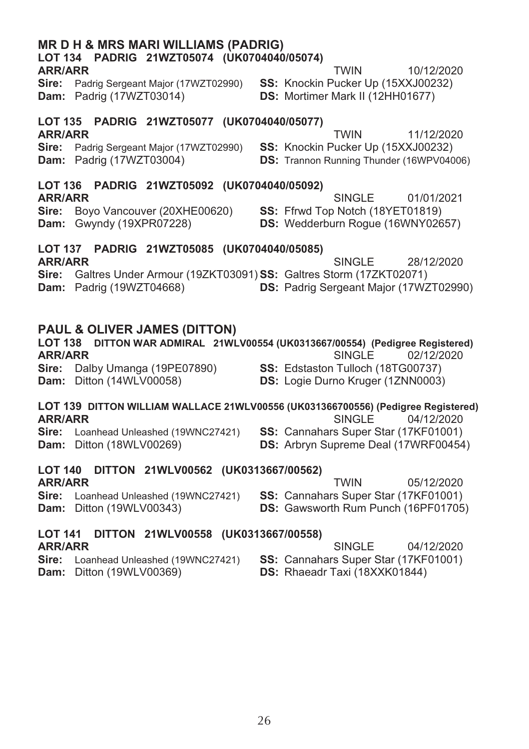| LOT 134 PADRIG 21WZT05074 (UK0704040/05074)<br><b>ARR/ARR</b>                                                                                                             |  | <b>TWIN</b>                                                                                          | 10/12/2020 |  |  |  |  |  |  |  |
|---------------------------------------------------------------------------------------------------------------------------------------------------------------------------|--|------------------------------------------------------------------------------------------------------|------------|--|--|--|--|--|--|--|
| <b>Sire:</b> Padrig Sergeant Major (17WZT02990)<br>Dam: Padrig (17WZT03014)                                                                                               |  | SS: Knockin Pucker Up (15XXJ00232)<br>DS: Mortimer Mark II (12HH01677)                               |            |  |  |  |  |  |  |  |
| PADRIG 21WZT05077 (UK0704040/05077)<br><b>LOT 135</b>                                                                                                                     |  |                                                                                                      |            |  |  |  |  |  |  |  |
| <b>ARR/ARR</b><br>Sire:<br>Padrig Sergeant Major (17WZT02990)<br>Dam: Padrig (17WZT03004)                                                                                 |  | <b>TWIN</b><br>SS: Knockin Pucker Up (15XXJ00232)<br><b>DS: Trannon Running Thunder (16WPV04006)</b> | 11/12/2020 |  |  |  |  |  |  |  |
| PADRIG 21WZT05092 (UK0704040/05092)<br><b>LOT 136</b>                                                                                                                     |  |                                                                                                      |            |  |  |  |  |  |  |  |
| <b>ARR/ARR</b><br>Boyo Vancouver (20XHE00620)<br>Sire:<br>Gwyndy (19XPR07228)<br>Dam:                                                                                     |  | <b>SINGLE</b><br>SS: Ffrwd Top Notch (18YET01819)<br>DS: Wedderburn Rogue (16WNY02657)               | 01/01/2021 |  |  |  |  |  |  |  |
| LOT 137 PADRIG 21WZT05085 (UK0704040/05085)                                                                                                                               |  |                                                                                                      |            |  |  |  |  |  |  |  |
| <b>ARR/ARR</b><br>Galtres Under Armour (19ZKT03091) SS: Galtres Storm (17ZKT02071)<br>Sire:<br>Dam: Padrig (19WZT04668)                                                   |  | <b>SINGLE</b><br>DS: Padrig Sergeant Major (17WZT02990)                                              | 28/12/2020 |  |  |  |  |  |  |  |
| <b>PAUL &amp; OLIVER JAMES (DITTON)</b><br>LOT 138 DITTON WAR ADMIRAL 21WLV00554 (UK0313667/00554) (Pedigree Registered)<br><b>ARR/ARR</b><br><b>SINGLE</b><br>02/12/2020 |  |                                                                                                      |            |  |  |  |  |  |  |  |
| Sire: Dalby Umanga (19PE07890)<br>Dam: Ditton (14WLV00058)                                                                                                                |  | SS: Edstaston Tulloch (18TG00737)<br>DS: Logie Durno Kruger (1ZNN0003)                               |            |  |  |  |  |  |  |  |
| LOT 139 DITTON WILLIAM WALLACE 21WLV00556 (UK031366700556) (Pedigree Registered)                                                                                          |  |                                                                                                      |            |  |  |  |  |  |  |  |
| <b>ARR/ARR</b><br>Loanhead Unleashed (19WNC27421)<br>Sire:<br>Dam: Ditton (18WLV00269)                                                                                    |  | <b>SINGLE</b><br>SS: Cannahars Super Star (17KF01001)<br>DS: Arbryn Supreme Deal (17WRF00454)        | 04/12/2020 |  |  |  |  |  |  |  |
| DITTON 21WLV00562 (UK0313667/00562)<br><b>LOT 140</b>                                                                                                                     |  |                                                                                                      |            |  |  |  |  |  |  |  |
| <b>ARR/ARR</b><br>Sire:<br>Loanhead Unleashed (19WNC27421)<br>Dam: Ditton (19WLV00343)                                                                                    |  | <b>TWIN</b><br>SS: Cannahars Super Star (17KF01001)<br>DS: Gawsworth Rum Punch (16PF01705)           | 05/12/2020 |  |  |  |  |  |  |  |
| <b>LOT 141</b><br>DITTON 21WLV00558 (UK0313667/00558)                                                                                                                     |  |                                                                                                      |            |  |  |  |  |  |  |  |
| <b>ARR/ARR</b><br>Sira: Loanhead Unleashed (1998/077421)                                                                                                                  |  | <b>SINGLE</b><br>SS. Cannahare Sunar Star (17KE01001)                                                | 04/12/2020 |  |  |  |  |  |  |  |

MR D H & MRS MARI WILLIAMS (PADRIG)

Sire: Loanhead Unleashed (19WNC27421) SS: Cannahars Super Star (17KF01001)<br>Dam: Ditton (19WLV00369) DS: Rhaeadr Taxi (18XXK01844)